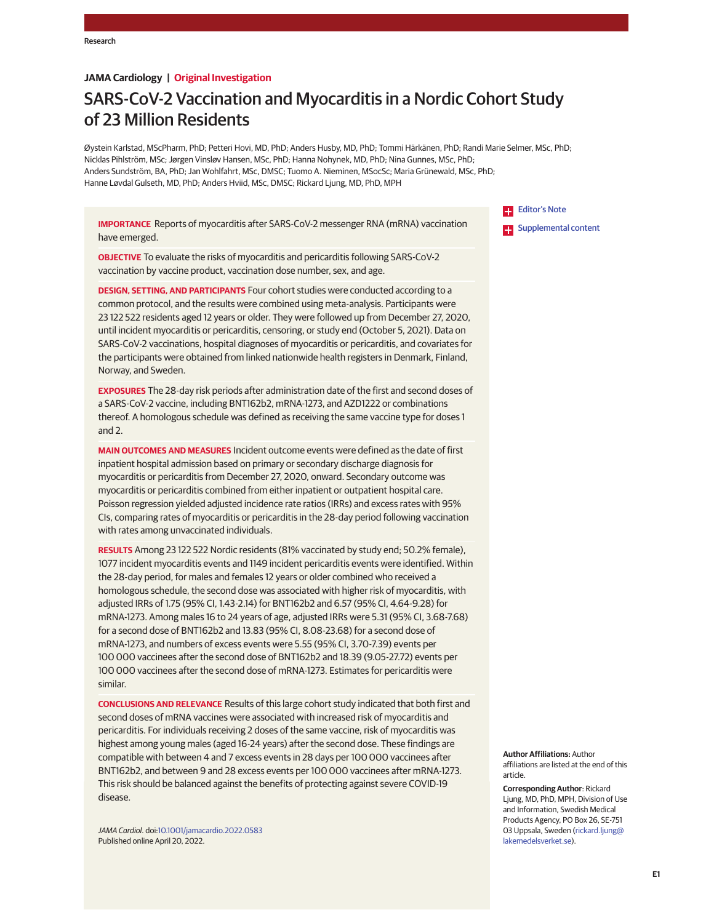## **JAMA Cardiology | Original Investigation**

# SARS-CoV-2 Vaccination and Myocarditis in a Nordic Cohort Study of 23 Million Residents

Øystein Karlstad, MScPharm, PhD; Petteri Hovi, MD, PhD; Anders Husby, MD, PhD; Tommi Härkänen, PhD; Randi Marie Selmer, MSc, PhD; Nicklas Pihlström, MSc; Jørgen Vinsløv Hansen, MSc, PhD; Hanna Nohynek, MD, PhD; Nina Gunnes, MSc, PhD; Anders Sundström, BA, PhD; Jan Wohlfahrt, MSc, DMSC; Tuomo A. Nieminen, MSocSc; Maria Grünewald, MSc, PhD; Hanne Løvdal Gulseth, MD, PhD; Anders Hviid, MSc, DMSC; Rickard Ljung, MD, PhD, MPH

**IMPORTANCE** Reports of myocarditis after SARS-CoV-2 messenger RNA (mRNA) vaccination have emerged.

**OBJECTIVE** To evaluate the risks of myocarditis and pericarditis following SARS-CoV-2 vaccination by vaccine product, vaccination dose number, sex, and age.

**DESIGN, SETTING, AND PARTICIPANTS** Four cohort studies were conducted according to a common protocol, and the results were combined using meta-analysis. Participants were 23 122 522 residents aged 12 years or older. They were followed up from December 27, 2020, until incident myocarditis or pericarditis, censoring, or study end (October 5, 2021). Data on SARS-CoV-2 vaccinations, hospital diagnoses of myocarditis or pericarditis, and covariates for the participants were obtained from linked nationwide health registers in Denmark, Finland, Norway, and Sweden.

**EXPOSURES** The 28-day risk periods after administration date of the first and second doses of a SARS-CoV-2 vaccine, including BNT162b2, mRNA-1273, and AZD1222 or combinations thereof. A homologous schedule was defined as receiving the same vaccine type for doses 1 and 2.

**MAIN OUTCOMES AND MEASURES** Incident outcome events were defined as the date of first inpatient hospital admission based on primary or secondary discharge diagnosis for myocarditis or pericarditis from December 27, 2020, onward. Secondary outcome was myocarditis or pericarditis combined from either inpatient or outpatient hospital care. Poisson regression yielded adjusted incidence rate ratios (IRRs) and excess rates with 95% CIs, comparing rates of myocarditis or pericarditis in the 28-day period following vaccination with rates among unvaccinated individuals.

**RESULTS** Among 23 122 522 Nordic residents (81% vaccinated by study end; 50.2% female), 1077 incident myocarditis events and 1149 incident pericarditis events were identified. Within the 28-day period, for males and females 12 years or older combined who received a homologous schedule, the second dose was associated with higher risk of myocarditis, with adjusted IRRs of 1.75 (95% CI, 1.43-2.14) for BNT162b2 and 6.57 (95% CI, 4.64-9.28) for mRNA-1273. Among males 16 to 24 years of age, adjusted IRRs were 5.31 (95% CI, 3.68-7.68) for a second dose of BNT162b2 and 13.83 (95% CI, 8.08-23.68) for a second dose of mRNA-1273, and numbers of excess events were 5.55 (95% CI, 3.70-7.39) events per 100 000 vaccinees after the second dose of BNT162b2 and 18.39 (9.05-27.72) events per 100 000 vaccinees after the second dose of mRNA-1273. Estimates for pericarditis were similar.

**CONCLUSIONS AND RELEVANCE** Results of this large cohort study indicated that both first and second doses of mRNA vaccines were associated with increased risk of myocarditis and pericarditis. For individuals receiving 2 doses of the same vaccine, risk of myocarditis was highest among young males (aged 16-24 years) after the second dose. These findings are compatible with between 4 and 7 excess events in 28 days per 100 000 vaccinees after BNT162b2, and between 9 and 28 excess events per 100 000 vaccinees after mRNA-1273. This risk should be balanced against the benefits of protecting against severe COVID-19 disease.

JAMA Cardiol. doi:10.1001/jamacardio.2022.0583 Published online April 20, 2022.

**Editor's Note Supplemental content** 

**Author Affiliations:** Author affiliations are listed at the end of this article.

**Corresponding Author**: Rickard Ljung, MD, PhD, MPH, Division of Use and Information, Swedish Medical Products Agency, PO Box 26, SE-751 03 Uppsala, Sweden (rickard.ljung@ lakemedelsverket.se).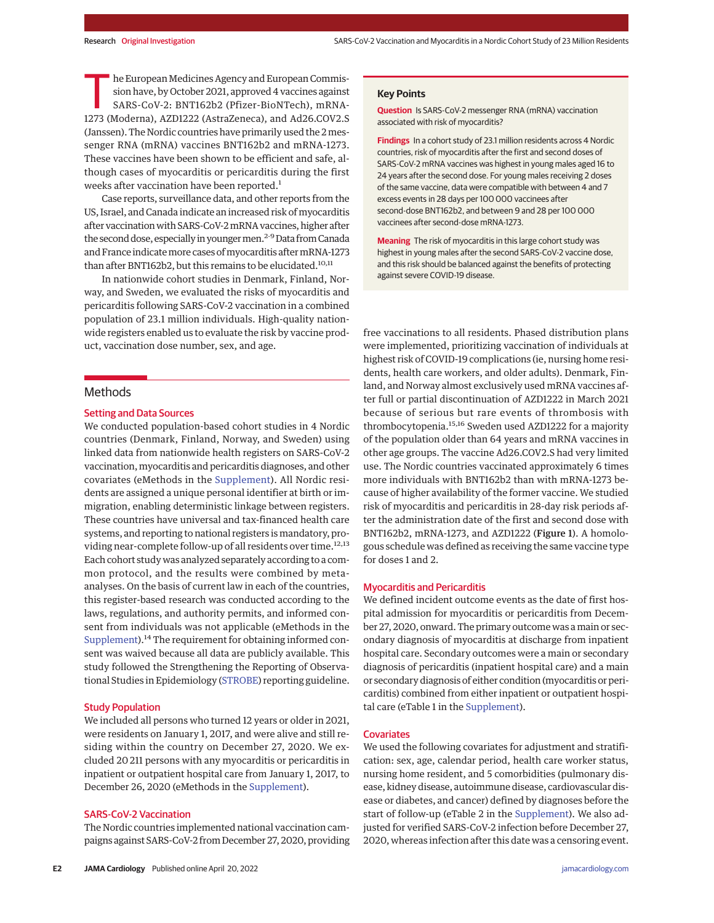he European Medicines Agency and European Commission have, by October 2021, approved 4 vaccines against SARS-CoV-2: BNT162b2 (Pfizer-BioNTech), mRNA-1273 (Moderna), AZD1222 (AstraZeneca), and Ad26.COV2.S he European Medicines Agency and European Commission have, by October 2021, approved 4 vaccines against SARS-CoV-2: BNT162b2 (Pfizer-BioNTech), mRNA-(Janssen). The Nordic countries have primarily used the 2messenger RNA (mRNA) vaccines BNT162b2 and mRNA-1273. These vaccines have been shown to be efficient and safe, although cases of myocarditis or pericarditis during the first weeks after vaccination have been reported.<sup>1</sup>

Case reports, surveillance data, and other reports from the US, Israel, and Canada indicate an increased risk of myocarditis after vaccination with SARS-CoV-2 mRNA vaccines, higher after the second dose, especially in younger men.<sup>2-9</sup> Data from Canada and France indicate more cases of myocarditis after mRNA-1273 than after BNT162b2, but this remains to be elucidated.<sup>10,11</sup>

In nationwide cohort studies in Denmark, Finland, Norway, and Sweden, we evaluated the risks of myocarditis and pericarditis following SARS-CoV-2 vaccination in a combined population of 23.1 million individuals. High-quality nationwide registers enabled us to evaluate the risk by vaccine product, vaccination dose number, sex, and age.

## **Methods**

#### Setting and Data Sources

We conducted population-based cohort studies in 4 Nordic countries (Denmark, Finland, Norway, and Sweden) using linked data from nationwide health registers on SARS-CoV-2 vaccination,myocarditis and pericarditis diagnoses, and other covariates (eMethods in the Supplement). All Nordic residents are assigned a unique personal identifier at birth or immigration, enabling deterministic linkage between registers. These countries have universal and tax-financed health care systems, and reporting to national registers is mandatory, providing near-complete follow-up of all residents over time.<sup>12,13</sup> Each cohort study was analyzed separately according to a common protocol, and the results were combined by metaanalyses. On the basis of current law in each of the countries, this register-based research was conducted according to the laws, regulations, and authority permits, and informed consent from individuals was not applicable (eMethods in the Supplement).<sup>14</sup> The requirement for obtaining informed consent was waived because all data are publicly available. This study followed the Strengthening the Reporting of Observational Studies in Epidemiology (STROBE) reporting guideline.

#### Study Population

We included all persons who turned 12 years or older in 2021, were residents on January 1, 2017, and were alive and still residing within the country on December 27, 2020. We excluded 20 211 persons with any myocarditis or pericarditis in inpatient or outpatient hospital care from January 1, 2017, to December 26, 2020 (eMethods in the Supplement).

## SARS-CoV-2 Vaccination

The Nordic countries implemented national vaccination campaigns against SARS-CoV-2 from December 27, 2020, providing

## **Key Points**

**Question** Is SARS-CoV-2 messenger RNA (mRNA) vaccination associated with risk of myocarditis?

**Findings** In a cohort study of 23.1 million residents across 4 Nordic countries, risk of myocarditis after the first and second doses of SARS-CoV-2 mRNA vaccines was highest in young males aged 16 to 24 years after the second dose. For young males receiving 2 doses of the same vaccine, data were compatible with between 4 and 7 excess events in 28 days per 100 000 vaccinees after second-dose BNT162b2, and between 9 and 28 per 100 000 vaccinees after second-dose mRNA-1273.

**Meaning** The risk of myocarditis in this large cohort study was highest in young males after the second SARS-CoV-2 vaccine dose, and this risk should be balanced against the benefits of protecting against severe COVID-19 disease.

free vaccinations to all residents. Phased distribution plans were implemented, prioritizing vaccination of individuals at highest risk of COVID-19 complications (ie, nursing home residents, health care workers, and older adults). Denmark, Finland, and Norway almost exclusively used mRNA vaccines after full or partial discontinuation of AZD1222 in March 2021 because of serious but rare events of thrombosis with thrombocytopenia.15,<sup>16</sup> Sweden used AZD1222 for a majority of the population older than 64 years and mRNA vaccines in other age groups. The vaccine Ad26.COV2.S had very limited use. The Nordic countries vaccinated approximately 6 times more individuals with BNT162b2 than with mRNA-1273 because of higher availability of the former vaccine. We studied risk of myocarditis and pericarditis in 28-day risk periods after the administration date of the first and second dose with BNT162b2, mRNA-1273, and AZD1222 (Figure 1). A homologous schedule was defined as receiving the same vaccine type for doses 1 and 2.

#### Myocarditis and Pericarditis

We defined incident outcome events as the date of first hospital admission for myocarditis or pericarditis from December 27, 2020, onward. The primary outcome was amain or secondary diagnosis of myocarditis at discharge from inpatient hospital care. Secondary outcomes were a main or secondary diagnosis of pericarditis (inpatient hospital care) and a main or secondary diagnosis of either condition (myocarditis or pericarditis) combined from either inpatient or outpatient hospital care (eTable 1 in the Supplement).

#### **Covariates**

We used the following covariates for adjustment and stratification: sex, age, calendar period, health care worker status, nursing home resident, and 5 comorbidities (pulmonary disease, kidney disease, autoimmune disease, cardiovascular disease or diabetes, and cancer) defined by diagnoses before the start of follow-up (eTable 2 in the Supplement). We also adjusted for verified SARS-CoV-2 infection before December 27, 2020, whereas infection after this date was a censoring event.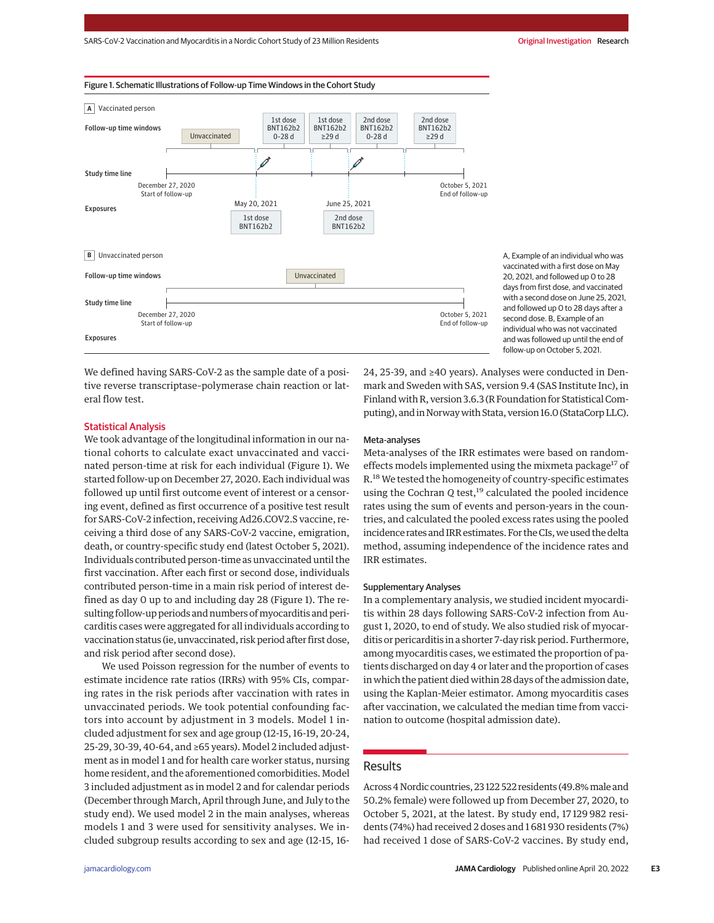#### Figure 1. Schematic Illustrations of Follow-up Time Windows in the Cohort Study



A, Example of an individual who was vaccinated with a first dose on May 20, 2021, and followed up 0 to 28 days from first dose, and vaccinated with a second dose on June 25, 2021, and followed up 0 to 28 days after a second dose. B, Example of an individual who was not vaccinated and was followed up until the end of follow-up on October 5, 2021.

We defined having SARS-CoV-2 as the sample date of a positive reverse transcriptase–polymerase chain reaction or lateral flow test.

## Statistical Analysis

We took advantage of the longitudinal information in our national cohorts to calculate exact unvaccinated and vaccinated person-time at risk for each individual (Figure 1). We started follow-up on December 27, 2020. Each individual was followed up until first outcome event of interest or a censoring event, defined as first occurrence of a positive test result for SARS-CoV-2 infection, receiving Ad26.COV2.S vaccine, receiving a third dose of any SARS-CoV-2 vaccine, emigration, death, or country-specific study end (latest October 5, 2021). Individuals contributed person-time as unvaccinated until the first vaccination. After each first or second dose, individuals contributed person-time in a main risk period of interest defined as day 0 up to and including day 28 (Figure 1). The resulting follow-up periods and numbers of myocarditis and pericarditis cases were aggregated for all individuals according to vaccination status (ie, unvaccinated, risk period after first dose, and risk period after second dose).

We used Poisson regression for the number of events to estimate incidence rate ratios (IRRs) with 95% CIs, comparing rates in the risk periods after vaccination with rates in unvaccinated periods. We took potential confounding factors into account by adjustment in 3 models. Model 1 included adjustment for sex and age group (12-15, 16-19, 20-24, 25-29, 30-39, 40-64, and ≥65 years). Model 2 included adjustment as in model 1 and for health care worker status, nursing home resident, and the aforementioned comorbidities. Model 3 included adjustment as in model 2 and for calendar periods (December through March, April through June, and July to the study end). We used model 2 in the main analyses, whereas models 1 and 3 were used for sensitivity analyses. We included subgroup results according to sex and age (12-15, 1624, 25-39, and ≥40 years). Analyses were conducted in Denmark and Sweden with SAS, version 9.4 (SAS Institute Inc), in Finland with R, version 3.6.3 (R Foundation for Statistical Computing), and in Norway with Stata, version 16.0 (StataCorp LLC).

## Meta-analyses

Meta-analyses of the IRR estimates were based on randomeffects models implemented using the mixmeta package<sup>17</sup> of R.<sup>18</sup> We tested the homogeneity of country-specific estimates using the Cochran Q test,<sup>19</sup> calculated the pooled incidence rates using the sum of events and person-years in the countries, and calculated the pooled excess rates using the pooled incidence rates and IRR estimates. For the CIs, we used the delta method, assuming independence of the incidence rates and IRR estimates.

#### Supplementary Analyses

In a complementary analysis, we studied incident myocarditis within 28 days following SARS-CoV-2 infection from August 1, 2020, to end of study. We also studied risk of myocarditis or pericarditis in a shorter 7-day risk period. Furthermore, among myocarditis cases, we estimated the proportion of patients discharged on day 4 or later and the proportion of cases in which the patient died within 28 days of the admission date, using the Kaplan-Meier estimator. Among myocarditis cases after vaccination, we calculated the median time from vaccination to outcome (hospital admission date).

#### Results

Across4Nordic countries,23 122 522residents (49.8%male and 50.2% female) were followed up from December 27, 2020, to October 5, 2021, at the latest. By study end, 17 129 982 residents (74%) had received 2 doses and 1 681 930 residents (7%) had received 1 dose of SARS-CoV-2 vaccines. By study end,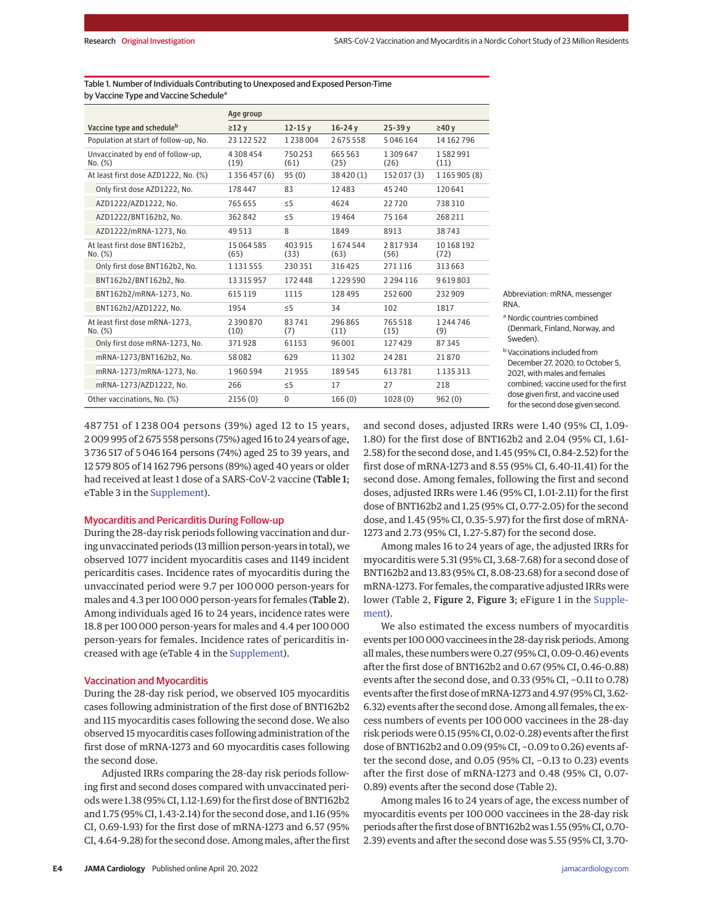| Table 1. Number of Individuals Contributing to Unexposed and Exposed Person-Time |
|----------------------------------------------------------------------------------|
| by Vaccine Type and Vaccine Schedule <sup>a</sup>                                |

|                                              | Age group             |                |                 |                 |                  |
|----------------------------------------------|-----------------------|----------------|-----------------|-----------------|------------------|
| Vaccine type and scheduleb                   | $\geq$ 12 $v$         | $12 - 15v$     | $16 - 24y$      | $25 - 39v$      | $\geq 40$ v      |
| Population at start of follow-up. No.        | 23 122 522            | 1238004        | 2675558         | 5046164         | 14 162 796       |
| Unvaccinated by end of follow-up,<br>No. (%) | 4 308 454<br>(19)     | 750253<br>(61) | 665 563<br>(25) | 1309647<br>(26) | 1582991<br>(11)  |
| At least first dose AZD1222, No. (%)         | 1 3 5 6 4 5 7 (6)     | 95(0)          | 38420(1)        | 152 037 (3)     | 1 165 905 (8)    |
| Only first dose AZD1222, No.                 | 178447                | 83             | 12483           | 45 240          | 120641           |
| AZD1222/AZD1222, No.                         | 765 655               | $\leq$ 5       | 4624            | 22720           | 738310           |
| AZD1222/BNT162b2. No.                        | 362842                | $\leq$ 5       | 19464           | 75 164          | 268211           |
| AZD1222/mRNA-1273. No.                       | 49513                 | 8              | 1849            | 8913            | 38743            |
| At least first dose BNT162b2.<br>No. (%)     | 15 064 585<br>(65)    | 403915<br>(33) | 1674544<br>(63) | 2817934<br>(56) | 10168192<br>(72) |
| Only first dose BNT162b2, No.                | 1 1 3 1 5 5 5         | 230351         | 316425          | 271116          | 313663           |
| BNT162b2/BNT162b2, No.                       | 13 3 15 9 5 7         | 172448         | 1229590         | 2 2 9 4 1 1 6   | 9619803          |
| BNT162b2/mRNA-1273. No.                      | 615119                | 1115           | 128 495         | 252600          | 232909           |
| BNT162b2/AZD1222, No.                        | 1954                  | $\leq$ 5       | 34              | 102             | 1817             |
| At least first dose mRNA-1273,<br>No. (%)    | 2 3 9 0 8 7 0<br>(10) | 83741<br>(7)   | 296865<br>(11)  | 765518<br>(15)  | 1 244 746<br>(9) |
| Only first dose mRNA-1273, No.               | 371928                | 61153          | 96 001          | 127429          | 87345            |
| mRNA-1273/BNT162b2, No.                      | 58082                 | 629            | 11302           | 24281           | 21870            |
| mRNA-1273/mRNA-1273, No.                     | 1960594               | 21955          | 189545          | 613781          | 1 1 3 5 3 1 3    |
| mRNA-1273/AZD1222, No.                       | 266                   | $\leq$ 5       | 17              | 27              | 218              |
| Other vaccinations. No. (%)                  | 2156(0)               | $\mathbf{0}$   | 166(0)          | 1028(0)         | 962(0)           |

mRNA, messenger

tries combined inland, Norway, and

s included from 7, 2020, to October 5, nales and females accine used for the first irst, and vaccine used nd dose given second.

487 751 of 1 238 004 persons (39%) aged 12 to 15 years, 2 009 995 of 2 675 558 persons (75%) aged 16 to 24 years of age, 3 736 517 of 5 046 164 persons (74%) aged 25 to 39 years, and 12 579 805 of 14 162 796 persons (89%) aged 40 years or older had received at least 1 dose of a SARS-CoV-2 vaccine (Table 1; eTable 3 in the Supplement).

## Myocarditis and Pericarditis During Follow-up

During the 28-day risk periods following vaccination and during unvaccinated periods (13 million person-years in total), we observed 1077 incident myocarditis cases and 1149 incident pericarditis cases. Incidence rates of myocarditis during the unvaccinated period were 9.7 per 100 000 person-years for males and 4.3 per 100 000 person-years for females (Table 2). Among individuals aged 16 to 24 years, incidence rates were 18.8 per 100 000 person-years for males and 4.4 per 100 000 person-years for females. Incidence rates of pericarditis increased with age (eTable 4 in the Supplement).

#### Vaccination and Myocarditis

During the 28-day risk period, we observed 105 myocarditis cases following administration of the first dose of BNT162b2 and 115 myocarditis cases following the second dose. We also observed 15 myocarditis cases following administration of the first dose of mRNA-1273 and 60 myocarditis cases following the second dose.

Adjusted IRRs comparing the 28-day risk periods following first and second doses compared with unvaccinated periods were 1.38 (95% CI, 1.12-1.69) for the first dose of BNT162b2 and 1.75 (95% CI, 1.43-2.14) for the second dose, and 1.16 (95% CI, 0.69-1.93) for the first dose of mRNA-1273 and 6.57 (95% CI,4.64-9.28) for the second dose. Amongmales, after the first and second doses, adjusted IRRs were 1.40 (95% CI, 1.09- 1.80) for the first dose of BNT162b2 and 2.04 (95% CI, 1.61- 2.58) for the second dose, and 1.45 (95% CI, 0.84-2.52) for the first dose of mRNA-1273 and 8.55 (95% CI, 6.40-11.41) for the second dose. Among females, following the first and second doses, adjusted IRRs were 1.46 (95% CI, 1.01-2.11) for the first dose of BNT162b2 and 1.25 (95% CI, 0.77-2.05) for the second dose, and 1.45 (95% CI, 0.35-5.97) for the first dose of mRNA-1273 and 2.73 (95% CI, 1.27-5.87) for the second dose.

Among males 16 to 24 years of age, the adjusted IRRs for myocarditis were 5.31 (95% CI, 3.68-7.68) for a second dose of BNT162b2 and 13.83 (95% CI, 8.08-23.68) for a second dose of mRNA-1273. For females, the comparative adjusted IRRs were lower (Table 2, Figure 2, Figure 3; eFigure 1 in the Supplement).

We also estimated the excess numbers of myocarditis events per 100 000 vaccinees in the 28-day risk periods. Among all males, these numbers were 0.27 (95% CI, 0.09-0.46) events after the first dose of BNT162b2 and 0.67 (95% CI, 0.46-0.88) events after the second dose, and 0.33 (95% CI, −0.11 to 0.78) events after the first dose of mRNA-1273 and 4.97 (95% CI, 3.62-6.32) events after the second dose. Among all females, the excess numbers of events per 100 000 vaccinees in the 28-day risk periods were 0.15 (95% CI, 0.02-0.28) events after the first dose of BNT162b2 and 0.09 (95% CI, −0.09 to 0.26) events after the second dose, and 0.05 (95% CI, −0.13 to 0.23) events after the first dose of mRNA-1273 and 0.48 (95% CI, 0.07- 0.89) events after the second dose (Table 2).

Among males 16 to 24 years of age, the excess number of myocarditis events per 100 000 vaccinees in the 28-day risk periods after the first dose of BNT162b2 was 1.55 (95% CI, 0.70-2.39) events and after the second dose was 5.55 (95% CI, 3.70-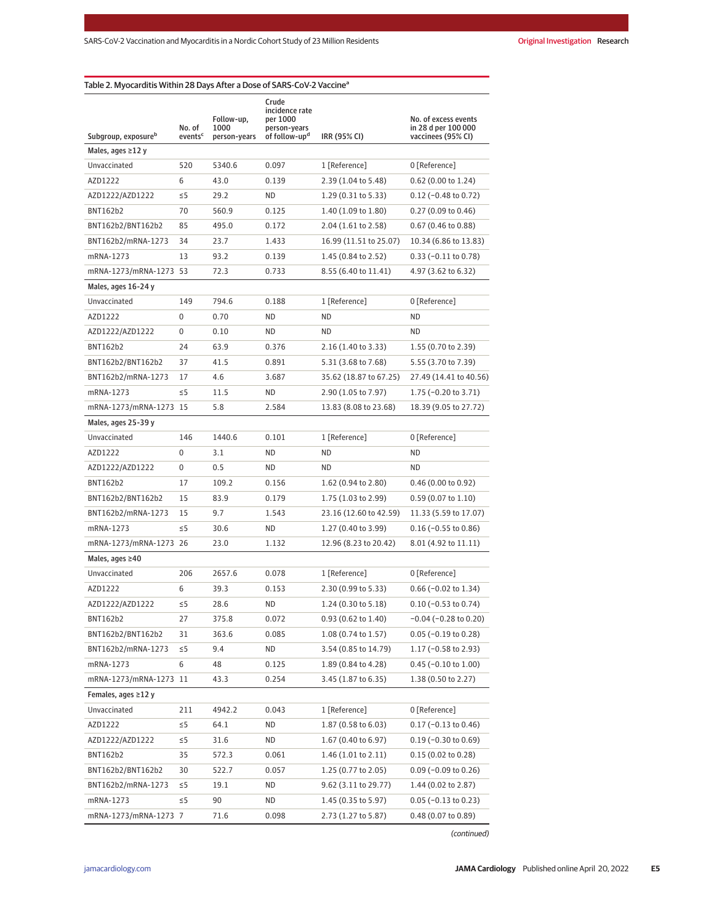| Subgroup, exposure <sup>b</sup> | Follow-up,<br>No. of<br>1000<br>events <sup>c</sup><br>person-years |        | Crude<br>incidence rate<br>per 1000<br>person-years<br>of follow-up <sup>d</sup> | IRR (95% CI)           | No. of excess events<br>in 28 d per 100 000<br>vaccinees (95% CI) |  |
|---------------------------------|---------------------------------------------------------------------|--------|----------------------------------------------------------------------------------|------------------------|-------------------------------------------------------------------|--|
| Males, ages ≥12 y               |                                                                     |        |                                                                                  |                        |                                                                   |  |
| Unvaccinated                    | 520                                                                 | 5340.6 | 0.097                                                                            | 1 [Reference]          | 0 [Reference]                                                     |  |
| AZD1222                         | 6                                                                   | 43.0   | 0.139                                                                            | 2.39 (1.04 to 5.48)    | 0.62 (0.00 to 1.24)                                               |  |
| AZD1222/AZD1222                 | $\leq 5$                                                            | 29.2   | ND                                                                               | 1.29 (0.31 to 5.33)    | $0.12$ (-0.48 to 0.72)                                            |  |
| BNT162b2                        | 70                                                                  | 560.9  | 0.125                                                                            | 1.40 (1.09 to 1.80)    | 0.27 (0.09 to 0.46)                                               |  |
| BNT162b2/BNT162b2               | 85                                                                  | 495.0  | 0.172                                                                            | 2.04 (1.61 to 2.58)    | 0.67 (0.46 to 0.88)                                               |  |
| BNT162b2/mRNA-1273              | 34                                                                  | 23.7   | 1.433                                                                            | 16.99 (11.51 to 25.07) | 10.34 (6.86 to 13.83)                                             |  |
| mRNA-1273                       | 13                                                                  | 93.2   | 0.139                                                                            | 1.45 (0.84 to 2.52)    | $0.33 (-0.11 to 0.78)$                                            |  |
| mRNA-1273/mRNA-1273 53          |                                                                     | 72.3   | 0.733                                                                            | 8.55 (6.40 to 11.41)   | 4.97 (3.62 to 6.32)                                               |  |
| Males, ages 16-24 y             |                                                                     |        |                                                                                  |                        |                                                                   |  |
| Unvaccinated                    | 149                                                                 | 794.6  | 0.188                                                                            | 1 [Reference]          | 0 [Reference]                                                     |  |
| AZD1222                         | 0                                                                   | 0.70   | ND                                                                               | ND                     | ΝD                                                                |  |
| AZD1222/AZD1222                 | 0                                                                   | 0.10   | <b>ND</b>                                                                        | ND                     | ND                                                                |  |
| BNT162b2                        | 24                                                                  | 63.9   | 0.376                                                                            | 2.16 (1.40 to 3.33)    | 1.55 (0.70 to 2.39)                                               |  |
| BNT162b2/BNT162b2               | 37                                                                  | 41.5   | 0.891                                                                            | 5.31 (3.68 to 7.68)    | 5.55 (3.70 to 7.39)                                               |  |
| BNT162b2/mRNA-1273              | 17                                                                  | 4.6    | 3.687                                                                            | 35.62 (18.87 to 67.25) | 27.49 (14.41 to 40.56)                                            |  |
| mRNA-1273                       | $\leq$ 5                                                            | 11.5   | ND                                                                               | 2.90 (1.05 to 7.97)    | 1.75 $(-0.20 \text{ to } 3.71)$                                   |  |
| mRNA-1273/mRNA-1273 15          |                                                                     | 5.8    | 2.584                                                                            | 13.83 (8.08 to 23.68)  | 18.39 (9.05 to 27.72)                                             |  |
| Males, ages 25-39 y             |                                                                     |        |                                                                                  |                        |                                                                   |  |
| Unvaccinated                    | 146                                                                 | 1440.6 | 0.101                                                                            | 1 [Reference]          | 0 [Reference]                                                     |  |
| AZD1222                         | 0                                                                   | 3.1    | ND                                                                               | ND                     | ND                                                                |  |
| AZD1222/AZD1222                 | 0                                                                   | 0.5    | ND                                                                               | ND                     | ND                                                                |  |
| BNT162b2                        | 17                                                                  | 109.2  | 0.156                                                                            | 1.62 (0.94 to 2.80)    | $0.46$ (0.00 to 0.92)                                             |  |
| BNT162b2/BNT162b2               | 15                                                                  | 83.9   | 0.179                                                                            | 1.75 (1.03 to 2.99)    | $0.59(0.07 \text{ to } 1.10)$                                     |  |
| BNT162b2/mRNA-1273              | 15                                                                  | 9.7    | 1.543                                                                            | 23.16 (12.60 to 42.59) | 11.33 (5.59 to 17.07)                                             |  |
| mRNA-1273                       | $\leq$ 5                                                            | 30.6   | ND                                                                               | 1.27 (0.40 to 3.99)    | $0.16$ (-0.55 to 0.86)                                            |  |
| mRNA-1273/mRNA-1273 26          |                                                                     | 23.0   | 1.132                                                                            | 12.96 (8.23 to 20.42)  | 8.01 (4.92 to 11.11)                                              |  |
| Males, ages ≥40                 |                                                                     |        |                                                                                  |                        |                                                                   |  |
| Unvaccinated                    | 206                                                                 | 2657.6 | 0.078                                                                            | 1 [Reference]          | 0 [Reference]                                                     |  |
| AZD1222                         | 6                                                                   | 39.3   | 0.153                                                                            | 2.30 (0.99 to 5.33)    | $0.66$ (-0.02 to 1.34)                                            |  |
| AZD1222/AZD1222                 | $\leq$ 5                                                            | 28.6   | <b>ND</b>                                                                        | 1.24 (0.30 to 5.18)    | $0.10 (-0.53 to 0.74)$                                            |  |
| BNT162b2                        | 27                                                                  | 375.8  | 0.072                                                                            | 0.93 (0.62 to 1.40)    | $-0.04$ ( $-0.28$ to 0.20)                                        |  |
| BNT162b2/BNT162b2               | 31                                                                  | 363.6  | 0.085                                                                            | 1.08 (0.74 to 1.57)    | $0.05$ (-0.19 to 0.28)                                            |  |
| BNT162b2/mRNA-1273              | $\leq$ 5                                                            | 9.4    | ND                                                                               | 3.54 (0.85 to 14.79)   | 1.17 $(-0.58$ to 2.93)                                            |  |
| mRNA-1273                       | 6                                                                   | 48     | 0.125                                                                            | 1.89 (0.84 to 4.28)    | $0.45$ (-0.10 to 1.00)                                            |  |
| mRNA-1273/mRNA-1273 11          |                                                                     | 43.3   | 0.254                                                                            | 3.45 (1.87 to 6.35)    | 1.38 (0.50 to 2.27)                                               |  |
| Females, ages ≥12 y             |                                                                     |        |                                                                                  |                        |                                                                   |  |
| Unvaccinated                    | 211                                                                 | 4942.2 | 0.043                                                                            | 1 [Reference]          | 0 [Reference]                                                     |  |
| AZD1222                         | $\leq$ 5                                                            | 64.1   | ND                                                                               | 1.87 (0.58 to 6.03)    | $0.17$ (-0.13 to 0.46)                                            |  |
| AZD1222/AZD1222                 | $\leq$ 5                                                            | 31.6   | ND                                                                               | 1.67 (0.40 to 6.97)    | $0.19$ (-0.30 to 0.69)                                            |  |
| BNT162b2                        | 35                                                                  | 572.3  | 0.061                                                                            | 1.46 (1.01 to 2.11)    | $0.15(0.02 \text{ to } 0.28)$                                     |  |
| BNT162b2/BNT162b2               | 30                                                                  | 522.7  | 0.057                                                                            | 1.25 (0.77 to 2.05)    | $0.09$ (-0.09 to 0.26)                                            |  |
| BNT162b2/mRNA-1273              | $\leq 5$                                                            | 19.1   | ND                                                                               | 9.62 (3.11 to 29.77)   | 1.44 (0.02 to 2.87)                                               |  |
| mRNA-1273                       | $\leq$ 5                                                            | 90     | ND                                                                               | 1.45 (0.35 to 5.97)    | $0.05$ (-0.13 to 0.23)                                            |  |
| mRNA-1273/mRNA-1273 7           |                                                                     | 71.6   | 0.098                                                                            | 2.73 (1.27 to 5.87)    | 0.48 (0.07 to 0.89)                                               |  |

(continued)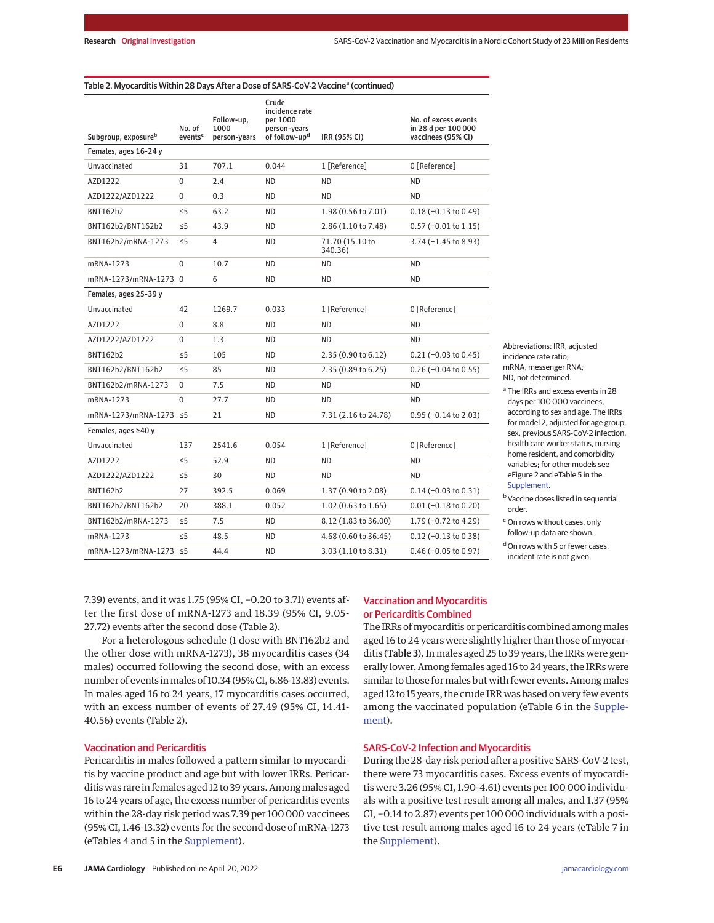| Subgroup, exposure <sup>b</sup> | No. of<br>events <sup>c</sup> | Follow-up,<br>1000<br>person-years | Crude<br>incidence rate<br>per 1000<br>person-years<br>of follow-up <sup>d</sup> | IRR (95% CI)               | No. of excess events<br>in 28 d per 100 000<br>vaccinees (95% CI) |  |  |
|---------------------------------|-------------------------------|------------------------------------|----------------------------------------------------------------------------------|----------------------------|-------------------------------------------------------------------|--|--|
| Females, ages 16-24 y           |                               |                                    |                                                                                  |                            |                                                                   |  |  |
| Unvaccinated                    | 31                            | 707.1                              | 0.044                                                                            | 1 [Reference]              | 0 [Reference]                                                     |  |  |
| AZD1222                         | 0                             | 2.4                                | <b>ND</b>                                                                        | <b>ND</b>                  | <b>ND</b>                                                         |  |  |
| AZD1222/AZD1222                 | 0                             | 0.3                                | <b>ND</b>                                                                        | <b>ND</b>                  | <b>ND</b>                                                         |  |  |
| <b>BNT162b2</b>                 | $\leq$ 5                      | 63.2                               | ND.                                                                              | 1.98 (0.56 to 7.01)        | $0.18 (-0.13 to 0.49)$                                            |  |  |
| BNT162b2/BNT162b2               | $\leq$ 5                      | 43.9                               | <b>ND</b>                                                                        | 2.86 (1.10 to 7.48)        | $0.57$ (-0.01 to 1.15)                                            |  |  |
| BNT162b2/mRNA-1273              | ≤5                            | 4                                  | ND.                                                                              | 71.70 (15.10 to<br>340.36) | 3.74 (-1.45 to 8.93)                                              |  |  |
| mRNA-1273                       | $\Omega$                      | 10.7                               | ND.                                                                              | <b>ND</b>                  | <b>ND</b>                                                         |  |  |
| mRNA-1273/mRNA-1273 0           |                               | 6                                  | ND                                                                               | ND                         | <b>ND</b>                                                         |  |  |
| Females, ages 25-39 y           |                               |                                    |                                                                                  |                            |                                                                   |  |  |
| Unvaccinated                    | 42                            | 1269.7                             | 0.033                                                                            | 1 [Reference]              | 0 [Reference]                                                     |  |  |
| AZD1222                         | 0                             | 8.8                                | ND.                                                                              | <b>ND</b>                  | <b>ND</b>                                                         |  |  |
| AZD1222/AZD1222                 | $\mathbf 0$                   | 1.3                                | <b>ND</b>                                                                        | <b>ND</b>                  | <b>ND</b>                                                         |  |  |
| BNT162b2                        | ≤5                            | 105                                | ND.                                                                              | 2.35 (0.90 to 6.12)        | $0.21$ (-0.03 to 0.45)                                            |  |  |
| BNT162b2/BNT162b2               | $\leq 5$                      | 85                                 | <b>ND</b>                                                                        | 2.35 (0.89 to 6.25)        | $0.26$ (-0.04 to 0.55)                                            |  |  |
| BNT162b2/mRNA-1273              | 0                             | 7.5                                | ND.                                                                              | <b>ND</b>                  | <b>ND</b>                                                         |  |  |
| mRNA-1273                       | 0                             | 27.7                               | <b>ND</b>                                                                        | <b>ND</b>                  | <b>ND</b>                                                         |  |  |
| mRNA-1273/mRNA-1273 ≤5          |                               | 21                                 | ND.                                                                              | 7.31 (2.16 to 24.78)       | $0.95$ (-0.14 to 2.03)                                            |  |  |
| Females, ages ≥40 y             |                               |                                    |                                                                                  |                            |                                                                   |  |  |
| Unvaccinated                    | 137                           | 2541.6                             | 0.054                                                                            | 1 [Reference]              | 0 [Reference]                                                     |  |  |
| AZD1222                         | $\leq 5$                      | 52.9                               | <b>ND</b>                                                                        | <b>ND</b>                  | <b>ND</b>                                                         |  |  |
| AZD1222/AZD1222                 | ≤5                            | 30                                 | ND.                                                                              | ND.                        | <b>ND</b>                                                         |  |  |
| BNT162b2                        | 27                            | 392.5                              | 0.069                                                                            | 1.37 (0.90 to 2.08)        | $0.14 (-0.03 to 0.31)$                                            |  |  |
| BNT162b2/BNT162b2               | 20                            | 388.1                              | 0.052                                                                            | $1.02$ (0.63 to 1.65)      | $0.01$ (-0.18 to 0.20)                                            |  |  |
| BNT162b2/mRNA-1273              | ≤5                            | 7.5                                | ND                                                                               | 8.12 (1.83 to 36.00)       | 1.79 (-0.72 to 4.29)                                              |  |  |
| mRNA-1273                       | ≤5                            | 48.5                               | <b>ND</b>                                                                        | 4.68 (0.60 to 36.45)       | $0.12$ (-0.13 to 0.38)                                            |  |  |
| mRNA-1273/mRNA-1273 ≤5          |                               | 44.4                               | <b>ND</b>                                                                        | 3.03 (1.10 to 8.31)        | $0.46$ (-0.05 to 0.97)                                            |  |  |

Abbreviations: IRR, adjusted incidence rate ratio; mRNA, messenger RNA; ND, not determined.

<sup>a</sup> The IRRs and excess events in 28 days per 100 000 vaccinees, according to sex and age. The IRRs for model 2, adjusted for age group, sex, previous SARS-CoV-2 infection, health care worker status, nursing home resident, and comorbidity variables; for other models see eFigure 2 and eTable 5 in the Supplement.

**b** Vaccine doses listed in sequential order.

<sup>c</sup> On rows without cases, only follow-up data are shown.

 $<sup>d</sup>$  On rows with 5 or fewer cases.</sup> incident rate is not given.

7.39) events, and it was 1.75 (95% CI, −0.20 to 3.71) events after the first dose of mRNA-1273 and 18.39 (95% CI, 9.05- 27.72) events after the second dose (Table 2).

For a heterologous schedule (1 dose with BNT162b2 and the other dose with mRNA-1273), 38 myocarditis cases (34 males) occurred following the second dose, with an excess number of events in males of 10.34 (95% CI, 6.86-13.83) events. In males aged 16 to 24 years, 17 myocarditis cases occurred, with an excess number of events of 27.49 (95% CI, 14.41- 40.56) events (Table 2).

## Vaccination and Pericarditis

Pericarditis in males followed a pattern similar to myocarditis by vaccine product and age but with lower IRRs. Pericarditis was rare in females aged 12 to 39 years. Among males aged 16 to 24 years of age, the excess number of pericarditis events within the 28-day risk period was 7.39 per 100 000 vaccinees (95% CI, 1.46-13.32) events for the second dose of mRNA-1273 (eTables 4 and 5 in the Supplement).

# Vaccination and Myocarditis or Pericarditis Combined

The IRRs of myocarditis or pericarditis combined among males aged 16 to 24 years were slightly higher than those of myocarditis (Table 3). In males aged 25 to 39 years, the IRRs were generally lower. Among females aged 16 to 24 years, the IRRs were similar to those for males but with fewer events. Among males aged 12 to 15 years, the crude IRR was based on very few events among the vaccinated population (eTable 6 in the Supplement).

## SARS-CoV-2 Infection and Myocarditis

During the 28-day risk period after a positive SARS-CoV-2 test, there were 73 myocarditis cases. Excess events of myocarditis were 3.26 (95% CI, 1.90-4.61) events per 100 000 individuals with a positive test result among all males, and 1.37 (95% CI, −0.14 to 2.87) events per 100 000 individuals with a positive test result among males aged 16 to 24 years (eTable 7 in the Supplement).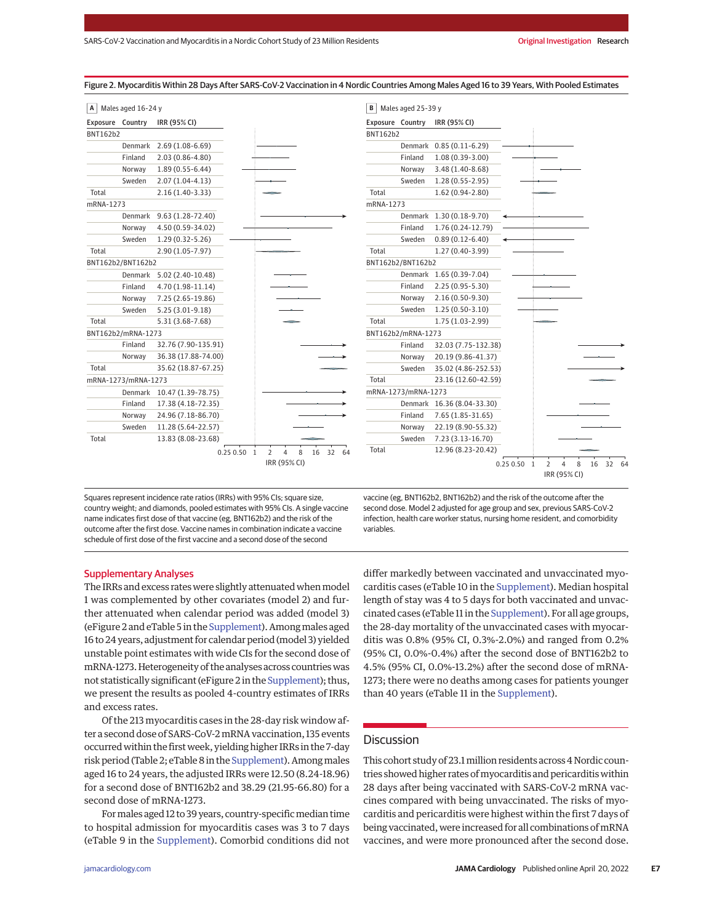| А                | Males aged 16-24 y  |                           |              |                                                   | В               | Males aged 25-39 y  |                               |             |                |                                |         |       |
|------------------|---------------------|---------------------------|--------------|---------------------------------------------------|-----------------|---------------------|-------------------------------|-------------|----------------|--------------------------------|---------|-------|
| Exposure Country |                     | IRR (95% CI)              |              |                                                   |                 |                     | Exposure Country IRR (95% CI) |             |                |                                |         |       |
| BNT162b2         |                     |                           |              |                                                   | <b>BNT162b2</b> |                     |                               |             |                |                                |         |       |
|                  | Denmark             | $2.69(1.08-6.69)$         |              |                                                   |                 |                     | Denmark 0.85 (0.11-6.29)      |             |                |                                |         |       |
|                  | Finland             | 2.03 (0.86-4.80)          |              |                                                   |                 | Finland             | $1.08(0.39 - 3.00)$           |             |                |                                |         |       |
|                  | Norway              | $1.89(0.55 - 6.44)$       |              |                                                   |                 | Norway              | 3.48 (1.40-8.68)              |             |                |                                |         |       |
|                  | Sweden              | $2.07(1.04-4.13)$         |              |                                                   |                 | Sweden              | $1.28(0.55 - 2.95)$           |             |                |                                |         |       |
| Total            |                     | $2.16(1.40-3.33)$         |              |                                                   | Total           |                     | 1.62 (0.94-2.80)              |             |                |                                |         |       |
| mRNA-1273        |                     |                           |              |                                                   | mRNA-1273       |                     |                               |             |                |                                |         |       |
|                  | Denmark             | 9.63 (1.28-72.40)         |              |                                                   |                 |                     | Denmark 1.30 (0.18-9.70)      |             |                |                                |         |       |
|                  | Norway              | 4.50 (0.59-34.02)         |              |                                                   |                 | Finland             | 1.76 (0.24-12.79)             |             |                |                                |         |       |
|                  | Sweden              | $1.29(0.32 - 5.26)$       |              |                                                   |                 | Sweden              | $0.89(0.12 - 6.40)$           |             |                |                                |         |       |
| Total            |                     | 2.90 (1.05-7.97)          |              |                                                   | Total           |                     | 1.27 (0.40-3.99)              |             |                |                                |         |       |
|                  | BNT162b2/BNT162b2   |                           |              |                                                   |                 | BNT162b2/BNT162b2   |                               |             |                |                                |         |       |
|                  |                     | Denmark 5.02 (2.40-10.48) |              |                                                   |                 |                     | Denmark 1.65 (0.39-7.04)      |             |                |                                |         |       |
|                  | Finland             | 4.70 (1.98-11.14)         |              |                                                   |                 | Finland             | 2.25 (0.95-5.30)              |             |                |                                |         |       |
|                  | Norway              | 7.25 (2.65-19.86)         |              |                                                   |                 | Norway              | 2.16 (0.50-9.30)              |             |                |                                |         |       |
|                  | Sweden              | $5.25(3.01-9.18)$         |              |                                                   |                 | Sweden              | $1.25(0.50-3.10)$             |             |                |                                |         |       |
| Total            |                     | 5.31 (3.68-7.68)          |              |                                                   | Total           |                     | 1.75 (1.03-2.99)              |             |                |                                |         |       |
|                  | BNT162b2/mRNA-1273  |                           |              |                                                   |                 | BNT162b2/mRNA-1273  |                               |             |                |                                |         |       |
|                  | Finland             | 32.76 (7.90-135.91)       |              |                                                   |                 | Finland             | 32.03 (7.75-132.38)           |             |                |                                |         |       |
|                  | Norway              | 36.38 (17.88-74.00)       |              |                                                   |                 | Norway              | 20.19 (9.86-41.37)            |             |                |                                |         |       |
| Total            |                     | 35.62 (18.87-67.25)       |              |                                                   |                 | Sweden              | 35.02 (4.86-252.53)           |             |                |                                |         |       |
|                  | mRNA-1273/mRNA-1273 |                           |              |                                                   | Total           |                     | 23.16 (12.60-42.59)           |             |                |                                |         |       |
|                  | Denmark             | 10.47 (1.39-78.75)        |              |                                                   |                 | mRNA-1273/mRNA-1273 |                               |             |                |                                |         |       |
|                  | Finland             | 17.38 (4.18-72.35)        |              |                                                   |                 |                     | Denmark 16.36 (8.04-33.30)    |             |                |                                |         |       |
|                  | Norway              | 24.96 (7.18-86.70)        |              |                                                   |                 | Finland             | 7.65 (1.85-31.65)             |             |                |                                |         |       |
|                  | Sweden              | 11.28 (5.64-22.57)        |              |                                                   |                 | Norway              | 22.19 (8.90-55.32)            |             |                |                                |         |       |
| Total            |                     | 13.83 (8.08-23.68)        |              |                                                   |                 | Sweden              | 7.23 (3.13-16.70)             |             |                |                                |         |       |
|                  |                     |                           | $0.250.50$ 1 | 8<br>$\overline{2}$<br>$\overline{4}$<br>16 32 64 | Total           |                     | 12.96 (8.23-20.42)            |             |                |                                |         |       |
|                  |                     |                           |              | IRR (95% CI)                                      |                 |                     |                               | 0.25 0.50 1 | $\overline{2}$ | $\overline{4}$<br>IRR (95% CI) | 8<br>16 | 32 64 |

Figure 2. Myocarditis Within 28 Days After SARS-CoV-2 Vaccination in 4 Nordic Countries Among Males Aged 16 to 39 Years, With Pooled Estimates

Squares represent incidence rate ratios (IRRs) with 95% CIs; square size, country weight; and diamonds, pooled estimates with 95% CIs. A single vaccine name indicates first dose of that vaccine (eg, BNT162b2) and the risk of the outcome after the first dose. Vaccine names in combination indicate a vaccine schedule of first dose of the first vaccine and a second dose of the second

vaccine (eg, BNT162b2, BNT162b2) and the risk of the outcome after the second dose. Model 2 adjusted for age group and sex, previous SARS-CoV-2 infection, health care worker status, nursing home resident, and comorbidity variables.

#### Supplementary Analyses

The IRRs and excess rates were slightly attenuated when model 1 was complemented by other covariates (model 2) and further attenuated when calendar period was added (model 3) (eFigure 2 and eTable 5 in the Supplement). Amongmales aged 16to24years, adjustment for calendar period (model 3) yielded unstable point estimates with wide CIs for the second dose of mRNA-1273. Heterogeneity of the analyses across countrieswas not statistically significant (eFigure 2 in the Supplement); thus, we present the results as pooled 4-country estimates of IRRs and excess rates.

Of the 213 myocarditis cases in the 28-day risk window after a second dose of SARS-CoV-2mRNA vaccination, 135 events occurred within the first week, yielding higher IRRs in the 7-day risk period (Table 2; eTable 8 in the Supplement). Among males aged 16 to 24 years, the adjusted IRRs were 12.50 (8.24-18.96) for a second dose of BNT162b2 and 38.29 (21.95-66.80) for a second dose of mRNA-1273.

For males aged 12 to 39 years, country-specific median time to hospital admission for myocarditis cases was 3 to 7 days (eTable 9 in the Supplement). Comorbid conditions did not

differ markedly between vaccinated and unvaccinated myocarditis cases (eTable 10 in the Supplement). Median hospital length of stay was 4 to 5 days for both vaccinated and unvaccinated cases (eTable 11 in the Supplement). For all age groups, the 28-day mortality of the unvaccinated cases with myocarditis was 0.8% (95% CI, 0.3%-2.0%) and ranged from 0.2% (95% CI, 0.0%-0.4%) after the second dose of BNT162b2 to 4.5% (95% CI, 0.0%-13.2%) after the second dose of mRNA-1273; there were no deaths among cases for patients younger than 40 years (eTable 11 in the Supplement).

## **Discussion**

This cohort study of 23.1 million residents across 4 Nordic countries showed higher rates of myocarditis and pericarditis within 28 days after being vaccinated with SARS-CoV-2 mRNA vaccines compared with being unvaccinated. The risks of myocarditis and pericarditis were highest within the first 7 days of being vaccinated, were increased for all combinations ofmRNA vaccines, and were more pronounced after the second dose.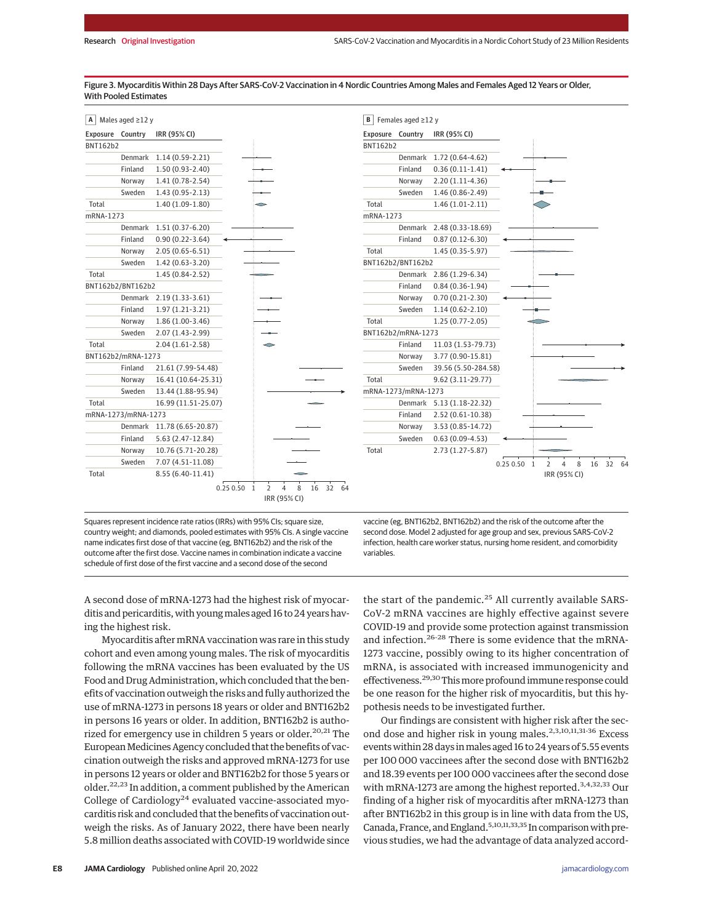| Exposure  | Country             | IRR (95% CI)        |   |
|-----------|---------------------|---------------------|---|
| BNT162b2  |                     |                     |   |
|           | Denmark             | $1.14(0.59-2.21)$   |   |
|           | Finland             | $1.50(0.93-2.40)$   |   |
|           | Norway              | $1.41(0.78-2.54)$   |   |
|           | Sweden              | $1.43(0.95-2.13)$   |   |
| Total     |                     | $1.40(1.09-1.80)$   |   |
| mRNA-1273 |                     |                     |   |
|           | Denmark             | $1.51(0.37-6.20)$   |   |
|           | Finland             | $0.90(0.22 - 3.64)$ |   |
|           | Norway              | $2.05(0.65 - 6.51)$ |   |
|           | Sweden              | 1.42 (0.63-3.20)    |   |
| Total     |                     | 1.45 (0.84-2.52)    |   |
|           | BNT162b2/BNT162b2   |                     |   |
|           | <b>Denmark</b>      | $2.19(1.33-3.61)$   |   |
|           | Finland             | $1.97(1.21-3.21)$   |   |
|           | Norway              | $1.86(1.00-3.46)$   |   |
|           | Sweden              | 2.07 (1.43-2.99)    |   |
| Total     |                     | $2.04(1.61-2.58)$   | ⌒ |
|           | BNT162b2/mRNA-1273  |                     |   |
|           | Finland             | 21.61 (7.99-54.48)  |   |
|           | Norway              | 16.41 (10.64-25.31) |   |
|           | Sweden              | 13.44 (1.88-95.94)  |   |
| Total     |                     | 16.99 (11.51-25.07) |   |
|           | mRNA-1273/mRNA-1273 |                     |   |
|           | Denmark             | 11.78 (6.65-20.87)  |   |
|           | Finland             | 5.63 (2.47-12.84)   |   |
|           | Norway              | 10.76 (5.71-20.28)  |   |
|           | Sweden              | 7.07 (4.51-11.08)   |   |
| Total     |                     | 8.55 (6.40-11.41)   |   |

Figure 3. Myocarditis Within 28 Days After SARS-CoV-2 Vaccination in 4 Nordic Countries Among Males and Females Aged 12 Years or Older, With Pooled Estimates



Squares represent incidence rate ratios (IRRs) with 95% CIs; square size, country weight; and diamonds, pooled estimates with 95% CIs. A single vaccine name indicates first dose of that vaccine (eg, BNT162b2) and the risk of the outcome after the first dose. Vaccine names in combination indicate a vaccine schedule of first dose of the first vaccine and a second dose of the second

vaccine (eg, BNT162b2, BNT162b2) and the risk of the outcome after the second dose. Model 2 adjusted for age group and sex, previous SARS-CoV-2 infection, health care worker status, nursing home resident, and comorbidity variables.

A second dose of mRNA-1273 had the highest risk of myocarditis and pericarditis, with young males aged 16 to 24 years having the highest risk.

Myocarditis after mRNA vaccination was rare in this study cohort and even among young males. The risk of myocarditis following the mRNA vaccines has been evaluated by the US Food and Drug Administration, which concluded that the benefits of vaccination outweigh the risks and fully authorized the use of mRNA-1273 in persons 18 years or older and BNT162b2 in persons 16 years or older. In addition, BNT162b2 is authorized for emergency use in children 5 years or older.<sup>20,21</sup> The European Medicines Agency concluded that the benefits of vaccination outweigh the risks and approved mRNA-1273 for use in persons 12 years or older and BNT162b2 for those 5 years or older.22,<sup>23</sup> In addition, a comment published by the American College of Cardiology $^{24}$  evaluated vaccine-associated myocarditis risk and concluded that the benefits of vaccination outweigh the risks. As of January 2022, there have been nearly 5.8 million deaths associated with COVID-19 worldwide since the start of the pandemic.<sup>25</sup> All currently available SARS-CoV-2 mRNA vaccines are highly effective against severe COVID-19 and provide some protection against transmission and infection.<sup>26-28</sup> There is some evidence that the mRNA-1273 vaccine, possibly owing to its higher concentration of mRNA, is associated with increased immunogenicity and effectiveness.<sup>29,30</sup> This more profound immune response could be one reason for the higher risk of myocarditis, but this hypothesis needs to be investigated further.

Our findings are consistent with higher risk after the second dose and higher risk in young males.<sup>2,3,10,11,31-36</sup> Excess events within 28 days in males aged 16 to 24 years of 5.55 events per 100 000 vaccinees after the second dose with BNT162b2 and 18.39 events per 100 000 vaccinees after the second dose with mRNA-1273 are among the highest reported.<sup>3,4,32,33</sup> Our finding of a higher risk of myocarditis after mRNA-1273 than after BNT162b2 in this group is in line with data from the US, Canada, France, and England.<sup>5,10,11,33,35</sup> In comparison with previous studies, we had the advantage of data analyzed accord-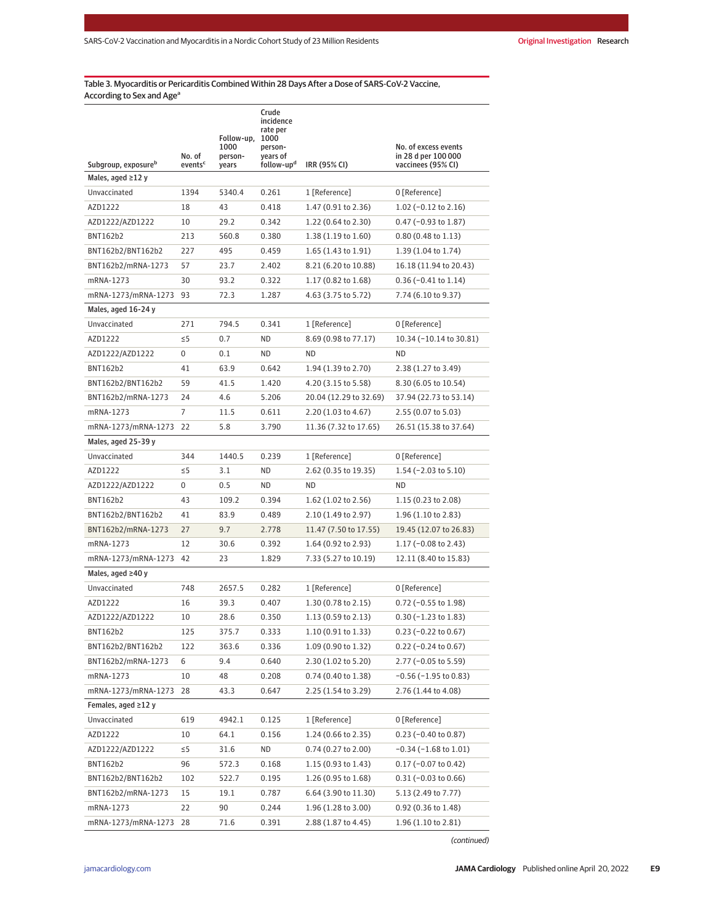# Table 3. Myocarditis or Pericarditis Combined Within 28 Days After a Dose of SARS-CoV-2 Vaccine, According to Sex and Age<sup>a</sup>

| Subgroup, exposure <sup>b</sup> | No. of<br>events <sup>c</sup> | Follow-up,<br>1000<br>person-<br>years | Crude<br>incidence<br>rate per<br>1000<br>person-<br>years of<br>follow-up <sup>d</sup> | IRR (95% CI)                  | No. of excess events<br>in 28 d per 100 000<br>vaccinees (95% CI) |
|---------------------------------|-------------------------------|----------------------------------------|-----------------------------------------------------------------------------------------|-------------------------------|-------------------------------------------------------------------|
| Males, aged $\geq$ 12 y         |                               |                                        |                                                                                         |                               |                                                                   |
| Unvaccinated                    | 1394                          | 5340.4                                 | 0.261                                                                                   | 1 [Reference]                 | 0 [Reference]                                                     |
| AZD1222                         | 18                            | 43                                     | 0.418                                                                                   | 1.47 (0.91 to 2.36)           | 1.02 $(-0.12 \text{ to } 2.16)$                                   |
| AZD1222/AZD1222                 | 10                            | 29.2                                   | 0.342                                                                                   | 1.22 (0.64 to 2.30)           | $0.47$ (-0.93 to 1.87)                                            |
| BNT162b2                        | 213                           | 560.8                                  | 0.380                                                                                   | $1.38(1.19 \text{ to } 1.60)$ | $0.80$ (0.48 to 1.13)                                             |
| BNT162b2/BNT162b2               | 227                           | 495                                    | 0.459                                                                                   | $1.65(1.43 \text{ to } 1.91)$ | 1.39 (1.04 to 1.74)                                               |
| BNT162b2/mRNA-1273              | 57                            | 23.7                                   | 2.402                                                                                   | 8.21 (6.20 to 10.88)          | 16.18 (11.94 to 20.43)                                            |
| mRNA-1273                       | 30                            | 93.2                                   | 0.322                                                                                   | 1.17 (0.82 to 1.68)           | $0.36$ (-0.41 to 1.14)                                            |
| mRNA-1273/mRNA-1273             | 93                            | 72.3                                   | 1.287                                                                                   | 4.63 (3.75 to 5.72)           | 7.74 (6.10 to 9.37)                                               |
| Males, aged 16-24 y             |                               |                                        |                                                                                         |                               |                                                                   |
| Unvaccinated                    | 271                           | 794.5                                  | 0.341                                                                                   | 1 [Reference]                 | 0 [Reference]                                                     |
| AZD1222                         | $\leq$ 5                      | 0.7                                    | ND                                                                                      | 8.69 (0.98 to 77.17)          | 10.34 (-10.14 to 30.81)                                           |
| AZD1222/AZD1222                 | 0                             | 0.1                                    | ND                                                                                      | ND                            | ND                                                                |
| BNT162b2                        | 41                            | 63.9                                   | 0.642                                                                                   | 1.94 (1.39 to 2.70)           | 2.38 (1.27 to 3.49)                                               |
| BNT162b2/BNT162b2               | 59                            | 41.5                                   | 1.420                                                                                   | 4.20 (3.15 to 5.58)           | 8.30 (6.05 to 10.54)                                              |
| BNT162b2/mRNA-1273              | 24                            | 4.6                                    | 5.206                                                                                   | 20.04 (12.29 to 32.69)        | 37.94 (22.73 to 53.14)                                            |
| mRNA-1273                       | 7                             | 11.5                                   | 0.611                                                                                   | 2.20 (1.03 to 4.67)           | 2.55 (0.07 to 5.03)                                               |
| mRNA-1273/mRNA-1273             | 22                            | 5.8                                    | 3.790                                                                                   | 11.36 (7.32 to 17.65)         | 26.51 (15.38 to 37.64)                                            |
| Males, aged 25-39 y             |                               |                                        |                                                                                         |                               |                                                                   |
| Unvaccinated                    | 344                           | 1440.5                                 | 0.239                                                                                   | 1 [Reference]                 | 0 [Reference]                                                     |
| AZD1222                         | $\leq$ 5                      | 3.1                                    | ΝD                                                                                      | 2.62 (0.35 to 19.35)          | $1.54$ (-2.03 to 5.10)                                            |
| AZD1222/AZD1222                 | 0                             | 0.5                                    | ND.                                                                                     | ND                            | ND                                                                |
| BNT162b2                        | 43                            | 109.2                                  | 0.394                                                                                   | $1.62$ (1.02 to 2.56)         | $1.15(0.23 \text{ to } 2.08)$                                     |
| BNT162b2/BNT162b2               | 41                            | 83.9                                   | 0.489                                                                                   | 2.10 (1.49 to 2.97)           | $1.96(1.10 \text{ to } 2.83)$                                     |
| BNT162b2/mRNA-1273              | 27                            | 9.7                                    | 2.778                                                                                   | 11.47 (7.50 to 17.55)         | 19.45 (12.07 to 26.83)                                            |
| mRNA-1273                       | 12                            | 30.6                                   | 0.392                                                                                   | $1.64$ (0.92 to 2.93)         | $1.17$ (-0.08 to 2.43)                                            |
| mRNA-1273/mRNA-1273             | 42                            | 23                                     | 1.829                                                                                   | 7.33 (5.27 to 10.19)          | 12.11 (8.40 to 15.83)                                             |
| Males, aged $\geq 40$ y         |                               |                                        |                                                                                         |                               |                                                                   |
| Unvaccinated                    | 748                           | 2657.5                                 | 0.282                                                                                   | 1 [Reference]                 | 0 [Reference]                                                     |
| AZD1222                         | 16                            | 39.3                                   | 0.407                                                                                   | 1.30 (0.78 to 2.15)           | $0.72$ (-0.55 to 1.98)                                            |
| AZD1222/AZD1222                 | 10                            | 28.6                                   | 0.350                                                                                   | 1.13 (0.59 to 2.13)           | $0.30 (-1.23 to 1.83)$                                            |
| BNT162b2                        | 125                           | 375.7                                  | 0.333                                                                                   | 1.10 (0.91 to 1.33)           | $0.23$ (-0.22 to 0.67)                                            |
| BNT162b2/BNT162b2               | 122                           | 363.6                                  | 0.336                                                                                   | 1.09 (0.90 to 1.32)           | $0.22$ (-0.24 to 0.67)                                            |
| BNT162b2/mRNA-1273              | 6                             | 9.4                                    | 0.640                                                                                   | 2.30 (1.02 to 5.20)           | $2.77$ (-0.05 to 5.59)                                            |
| mRNA-1273                       | 10                            | 48                                     | 0.208                                                                                   | 0.74 (0.40 to 1.38)           | $-0.56$ ( $-1.95$ to 0.83)                                        |
| mRNA-1273/mRNA-1273             | 28                            | 43.3                                   | 0.647                                                                                   | 2.25 (1.54 to 3.29)           | 2.76 (1.44 to 4.08)                                               |
| Females, aged ≥12 y             |                               |                                        |                                                                                         |                               |                                                                   |
| Unvaccinated                    | 619                           | 4942.1                                 | 0.125                                                                                   | 1 [Reference]                 | 0 [Reference]                                                     |
| AZD1222                         | 10                            | 64.1                                   | 0.156                                                                                   | 1.24 (0.66 to 2.35)           | $0.23$ (-0.40 to 0.87)                                            |
| AZD1222/AZD1222                 | $\leq$ 5                      | 31.6                                   | ND                                                                                      | 0.74 (0.27 to 2.00)           | $-0.34$ ( $-1.68$ to 1.01)                                        |
| BNT162b2                        | 96                            | 572.3                                  | 0.168                                                                                   | 1.15 (0.93 to 1.43)           | $0.17$ (-0.07 to 0.42)                                            |
| BNT162b2/BNT162b2               | 102                           | 522.7                                  | 0.195                                                                                   | 1.26 (0.95 to 1.68)           | $0.31 (-0.03 to 0.66)$                                            |
| BNT162b2/mRNA-1273              | 15                            | 19.1                                   | 0.787                                                                                   | 6.64 (3.90 to 11.30)          | 5.13 (2.49 to 7.77)                                               |
| mRNA-1273                       | 22                            | 90                                     | 0.244                                                                                   | 1.96 (1.28 to 3.00)           | 0.92 (0.36 to 1.48)                                               |
| mRNA-1273/mRNA-1273             | 28                            | 71.6                                   | 0.391                                                                                   | 2.88 (1.87 to 4.45)           | 1.96 (1.10 to 2.81)                                               |

(continued)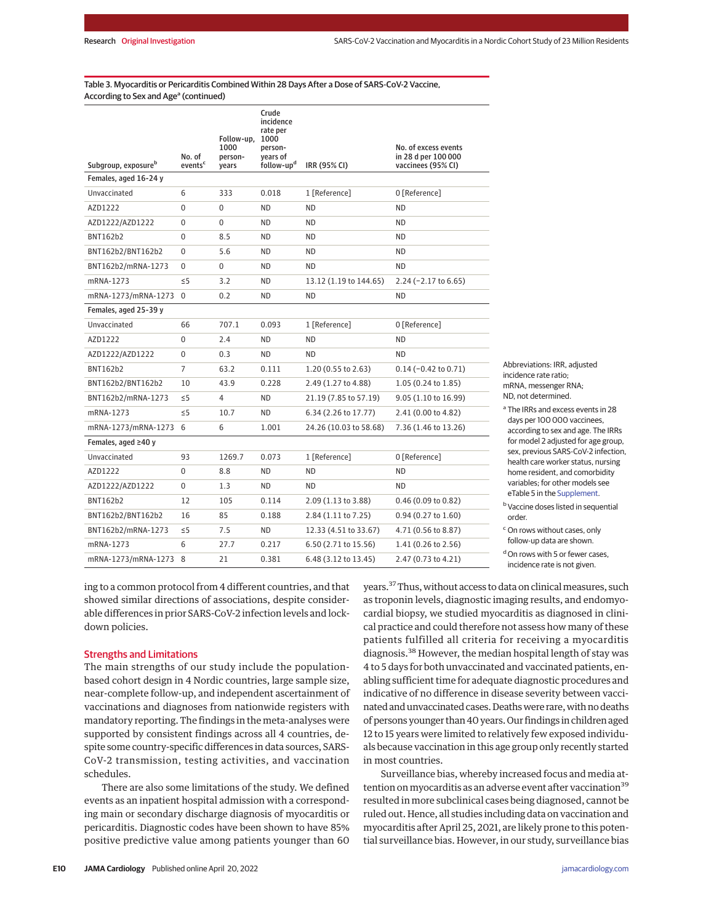## Table 3. Myocarditis or Pericarditis Combined Within 28 Days After a Dose of SARS-CoV-2 Vaccine, According to Sex and Age<sup>a</sup> (continued)

| Subgroup, exposure <sup>b</sup> | No. of<br>events <sup>c</sup> | Follow-up,<br>1000<br>person-<br>years | Crude<br>incidence<br>rate per<br>1000<br>person-<br>years of<br>follow-up <sup>d</sup> | IRR (95% CI)           | No. of excess events<br>in 28 d per 100 000<br>vaccinees (95% CI) |
|---------------------------------|-------------------------------|----------------------------------------|-----------------------------------------------------------------------------------------|------------------------|-------------------------------------------------------------------|
| Females, aged 16-24 y           |                               |                                        |                                                                                         |                        |                                                                   |
| Unvaccinated                    | 6                             | 333                                    | 0.018                                                                                   | 1 [Reference]          | 0 [Reference]                                                     |
| AZD1222                         | $\Omega$                      | $\Omega$                               | <b>ND</b>                                                                               | ND.                    | <b>ND</b>                                                         |
| AZD1222/AZD1222                 | 0                             | 0                                      | ND.                                                                                     | ND                     | ND.                                                               |
| <b>BNT162b2</b>                 | 0                             | 8.5                                    | ND.                                                                                     | ND                     | ND.                                                               |
| BNT162b2/BNT162b2               | 0                             | 5.6                                    | <b>ND</b>                                                                               | <b>ND</b>              | <b>ND</b>                                                         |
| BNT162b2/mRNA-1273              | $\Omega$                      | 0                                      | <b>ND</b>                                                                               | <b>ND</b>              | <b>ND</b>                                                         |
| mRNA-1273                       | $\leq$ 5                      | 3.2                                    | ΝD                                                                                      | 13.12 (1.19 to 144.65) | $2.24$ (-2.17 to 6.65)                                            |
| mRNA-1273/mRNA-1273             | $\Omega$                      | 0.2                                    | <b>ND</b>                                                                               | <b>ND</b>              | <b>ND</b>                                                         |
| Females, aged 25-39 y           |                               |                                        |                                                                                         |                        |                                                                   |
| Unvaccinated                    | 66                            | 707.1                                  | 0.093                                                                                   | 1 [Reference]          | 0 [Reference]                                                     |
| AZD1222                         | 0                             | 2.4                                    | ND.                                                                                     | ΝD                     | ND.                                                               |
| AZD1222/AZD1222                 | 0                             | 0.3                                    | ND                                                                                      | ND                     | ND.                                                               |
| <b>BNT162b2</b>                 | $\overline{7}$                | 63.2                                   | 0.111                                                                                   | 1.20 (0.55 to 2.63)    | $0.14 (-0.42 to 0.71)$                                            |
| BNT162b2/BNT162b2               | 10                            | 43.9                                   | 0.228                                                                                   | 2.49 (1.27 to 4.88)    | 1.05 (0.24 to 1.85)                                               |
| BNT162b2/mRNA-1273              | $\leq$ 5                      | 4                                      | ΝD                                                                                      | 21.19 (7.85 to 57.19)  | 9.05 (1.10 to 16.99)                                              |
| mRNA-1273                       | $\leq 5$                      | 10.7                                   | ND.                                                                                     | 6.34 (2.26 to 17.77)   | 2.41 (0.00 to 4.82)                                               |
| mRNA-1273/mRNA-1273 6           |                               | 6                                      | 1.001                                                                                   | 24.26 (10.03 to 58.68) | 7.36 (1.46 to 13.26)                                              |
| Females, aged $\geq$ 40 y       |                               |                                        |                                                                                         |                        |                                                                   |
| Unvaccinated                    | 93                            | 1269.7                                 | 0.073                                                                                   | 1 [Reference]          | 0 [Reference]                                                     |
| AZD1222                         | $\Omega$                      | 8.8                                    | <b>ND</b>                                                                               | <b>ND</b>              | <b>ND</b>                                                         |
| AZD1222/AZD1222                 | 0                             | 1.3                                    | ND.                                                                                     | <b>ND</b>              | ND.                                                               |
| BNT162b2                        | 12                            | 105                                    | 0.114                                                                                   | 2.09 (1.13 to 3.88)    | 0.46(0.09 to 0.82)                                                |
| BNT162b2/BNT162b2               | 16                            | 85                                     | 0.188                                                                                   | 2.84 (1.11 to 7.25)    | $0.94$ (0.27 to 1.60)                                             |
| BNT162b2/mRNA-1273              | $\leq$ 5                      | 7.5                                    | ND.                                                                                     | 12.33 (4.51 to 33.67)  | 4.71 (0.56 to 8.87)                                               |
| mRNA-1273                       | 6                             | 27.7                                   | 0.217                                                                                   | 6.50 (2.71 to 15.56)   | 1.41 (0.26 to 2.56)                                               |
| mRNA-1273/mRNA-1273             | 8                             | 21                                     | 0.381                                                                                   | 6.48 (3.12 to 13.45)   | 2.47 (0.73 to 4.21)                                               |

Abbreviations: IRR, adjusted incidence rate ratio; mRNA, messenger RNA; ND, not determined.

<sup>a</sup> The IRRs and excess events in 28 days per 100 000 vaccinees, according to sex and age. The IRRs for model 2 adjusted for age group, sex, previous SARS-CoV-2 infection, health care worker status, nursing home resident, and comorbidity variables; for other models see eTable 5 in the Supplement.

**b** Vaccine doses listed in sequential order.

<sup>c</sup> On rows without cases, only follow-up data are shown.

<sup>d</sup> On rows with 5 or fewer cases, incidence rate is not given.

ing to a common protocol from 4 different countries, and that showed similar directions of associations, despite considerable differences in prior SARS-CoV-2 infection levels and lockdown policies.

## Strengths and Limitations

The main strengths of our study include the populationbased cohort design in 4 Nordic countries, large sample size, near-complete follow-up, and independent ascertainment of vaccinations and diagnoses from nationwide registers with mandatory reporting. The findings in the meta-analyses were supported by consistent findings across all 4 countries, despite some country-specific differences in data sources, SARS-CoV-2 transmission, testing activities, and vaccination schedules.

There are also some limitations of the study. We defined events as an inpatient hospital admission with a corresponding main or secondary discharge diagnosis of myocarditis or pericarditis. Diagnostic codes have been shown to have 85% positive predictive value among patients younger than 60 years.<sup>37</sup> Thus, without access to data on clinical measures, such as troponin levels, diagnostic imaging results, and endomyocardial biopsy, we studied myocarditis as diagnosed in clinical practice and could therefore not assess how many of these patients fulfilled all criteria for receiving a myocarditis diagnosis.<sup>38</sup> However, the median hospital length of stay was 4 to 5 days for both unvaccinated and vaccinated patients, enabling sufficient time for adequate diagnostic procedures and indicative of no difference in disease severity between vaccinated and unvaccinated cases. Deaths were rare, with no deaths of persons younger than40years. Our findings in children aged 12 to 15 years were limited to relatively few exposed individuals because vaccination in this age group only recently started in most countries.

Surveillance bias, whereby increased focus and media attention on myocarditis as an adverse event after vaccination<sup>39</sup> resulted in more subclinical cases being diagnosed, cannot be ruled out. Hence, all studies including data on vaccination and myocarditis after April 25, 2021, are likely prone to this potential surveillance bias. However, in our study, surveillance bias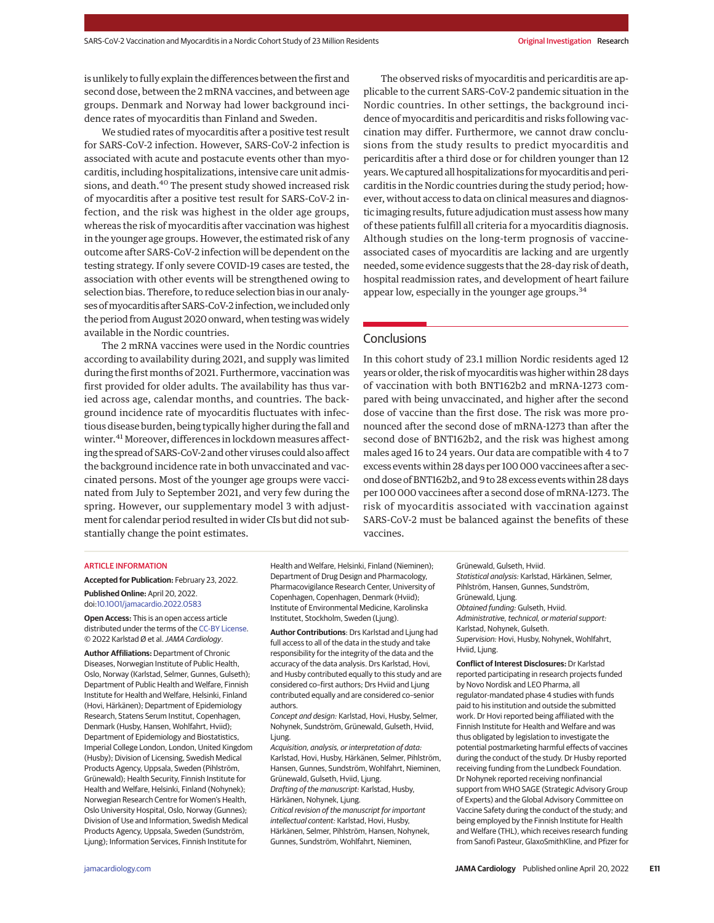is unlikely to fully explain the differences between the first and second dose, between the 2 mRNA vaccines, and between age groups. Denmark and Norway had lower background incidence rates of myocarditis than Finland and Sweden.

We studied rates of myocarditis after a positive test result for SARS-CoV-2 infection. However, SARS-CoV-2 infection is associated with acute and postacute events other than myocarditis, including hospitalizations, intensive care unit admissions, and death.<sup>40</sup> The present study showed increased risk of myocarditis after a positive test result for SARS-CoV-2 infection, and the risk was highest in the older age groups, whereas the risk of myocarditis after vaccination was highest in the younger age groups. However, the estimated risk of any outcome after SARS-CoV-2 infection will be dependent on the testing strategy. If only severe COVID-19 cases are tested, the association with other events will be strengthened owing to selection bias. Therefore, to reduce selection bias in our analyses of myocarditis after SARS-CoV-2 infection, we included only the period from August 2020 onward, when testing was widely available in the Nordic countries.

The 2 mRNA vaccines were used in the Nordic countries according to availability during 2021, and supply was limited during the first months of 2021. Furthermore, vaccination was first provided for older adults. The availability has thus varied across age, calendar months, and countries. The background incidence rate of myocarditis fluctuates with infectious disease burden, being typically higher during the fall and winter.<sup>41</sup> Moreover, differences in lockdown measures affecting the spread of SARS-CoV-2and other viruses could also affect the background incidence rate in both unvaccinated and vaccinated persons. Most of the younger age groups were vaccinated from July to September 2021, and very few during the spring. However, our supplementary model 3 with adjustment for calendar period resulted in wider CIs but did not substantially change the point estimates.

The observed risks of myocarditis and pericarditis are applicable to the current SARS-CoV-2 pandemic situation in the Nordic countries. In other settings, the background incidence of myocarditis and pericarditis and risks following vaccination may differ. Furthermore, we cannot draw conclusions from the study results to predict myocarditis and pericarditis after a third dose or for children younger than 12 years.We captured all hospitalizations formyocarditis and pericarditis in the Nordic countries during the study period; however, without access to data on clinical measures and diagnostic imaging results, future adjudication must assess how many of these patients fulfill all criteria for a myocarditis diagnosis. Although studies on the long-term prognosis of vaccineassociated cases of myocarditis are lacking and are urgently needed, some evidence suggests that the 28-day risk of death, hospital readmission rates, and development of heart failure appear low, especially in the younger age groups.<sup>34</sup>

# **Conclusions**

In this cohort study of 23.1 million Nordic residents aged 12 years or older, the risk of myocarditis was higher within 28 days of vaccination with both BNT162b2 and mRNA-1273 compared with being unvaccinated, and higher after the second dose of vaccine than the first dose. The risk was more pronounced after the second dose of mRNA-1273 than after the second dose of BNT162b2, and the risk was highest among males aged 16 to 24 years. Our data are compatible with 4 to 7 excess events within 28 days per 100 000 vaccinees after a second dose of BNT162b2, and 9 to 28 excess events within 28 days per 100 000 vaccinees after a second dose of mRNA-1273. The risk of myocarditis associated with vaccination against SARS-CoV-2 must be balanced against the benefits of these vaccines.

#### ARTICLE INFORMATION

**Accepted for Publication:** February 23, 2022. **Published Online:** April 20, 2022. doi:10.1001/jamacardio.2022.0583

**Open Access:** This is an open access article distributed under the terms of the CC-BY License. © 2022 Karlstad Ø et al.JAMA Cardiology.

**Author Affiliations:** Department of Chronic Diseases, Norwegian Institute of Public Health, Oslo, Norway (Karlstad, Selmer, Gunnes, Gulseth); Department of Public Health and Welfare, Finnish Institute for Health and Welfare, Helsinki, Finland (Hovi, Härkänen); Department of Epidemiology Research, Statens Serum Institut, Copenhagen, Denmark (Husby, Hansen, Wohlfahrt, Hviid); Department of Epidemiology and Biostatistics, Imperial College London, London, United Kingdom (Husby); Division of Licensing, Swedish Medical Products Agency, Uppsala, Sweden (Pihlström, Grünewald); Health Security, Finnish Institute for Health and Welfare, Helsinki, Finland (Nohynek); Norwegian Research Centre for Women's Health, Oslo University Hospital, Oslo, Norway (Gunnes); Division of Use and Information, Swedish Medical Products Agency, Uppsala, Sweden (Sundström, Ljung); Information Services, Finnish Institute for

Health and Welfare, Helsinki, Finland (Nieminen); Department of Drug Design and Pharmacology, Pharmacovigilance Research Center, University of Copenhagen, Copenhagen, Denmark (Hviid); Institute of Environmental Medicine, Karolinska Institutet, Stockholm, Sweden (Ljung).

**Author Contributions**: Drs Karlstad and Ljung had full access to all of the data in the study and take responsibility for the integrity of the data and the accuracy of the data analysis. Drs Karlstad, Hovi, and Husby contributed equally to this study and are considered co–first authors; Drs Hviid and Ljung contributed equally and are considered co–senior authors.

Concept and design: Karlstad, Hovi, Husby, Selmer, Nohynek, Sundström, Grünewald, Gulseth, Hviid, Ljung.

Acquisition, analysis, or interpretation of data: Karlstad, Hovi, Husby, Härkänen, Selmer, Pihlström, Hansen, Gunnes, Sundström, Wohlfahrt, Nieminen, Grünewald, Gulseth, Hviid, Ljung. Drafting of the manuscript: Karlstad, Husby,

Härkänen, Nohynek, Ljung. Critical revision of the manuscript for important intellectual content: Karlstad, Hovi, Husby, Härkänen, Selmer, Pihlström, Hansen, Nohynek,

Gunnes, Sundström, Wohlfahrt, Nieminen,

Grünewald, Gulseth, Hviid. Statistical analysis: Karlstad, Härkänen, Selmer, Pihlström, Hansen, Gunnes, Sundström, Grünewald, Ljung. Obtained funding: Gulseth, Hviid. Administrative, technical, or material support: Karlstad, Nohynek, Gulseth. Supervision: Hovi, Husby, Nohynek, Wohlfahrt, Hviid, Ljung.

**Conflict of Interest Disclosures:** Dr Karlstad reported participating in research projects funded by Novo Nordisk and LEO Pharma, all regulator-mandated phase 4 studies with funds paid to his institution and outside the submitted work. Dr Hovi reported being affiliated with the Finnish Institute for Health and Welfare and was thus obligated by legislation to investigate the potential postmarketing harmful effects of vaccines during the conduct of the study. Dr Husby reported receiving funding from the Lundbeck Foundation. Dr Nohynek reported receiving nonfinancial support from WHO SAGE (Strategic Advisory Group of Experts) and the Global Advisory Committee on Vaccine Safety during the conduct of the study; and being employed by the Finnish Institute for Health and Welfare (THL), which receives research funding from Sanofi Pasteur, GlaxoSmithKline, and Pfizer for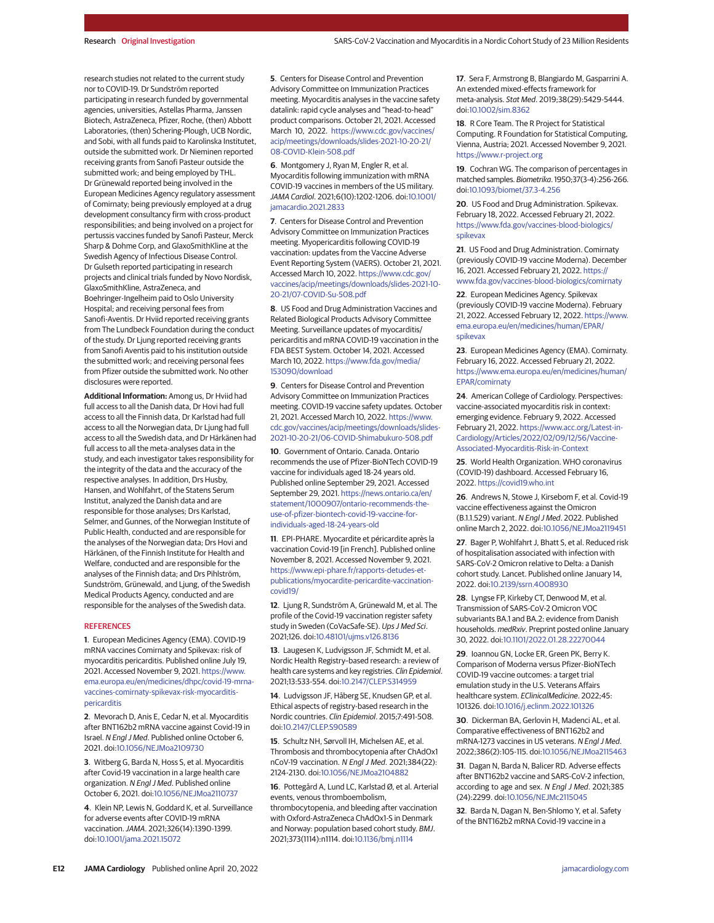research studies not related to the current study nor to COVID-19. Dr Sundström reported participating in research funded by governmental agencies, universities, Astellas Pharma, Janssen Biotech, AstraZeneca, Pfizer, Roche, (then) Abbott Laboratories, (then) Schering-Plough, UCB Nordic, and Sobi, with all funds paid to Karolinska Institutet, outside the submitted work. Dr Nieminen reported receiving grants from Sanofi Pasteur outside the submitted work; and being employed by THL. Dr Grünewald reported being involved in the European Medicines Agency regulatory assessment of Comirnaty; being previously employed at a drug development consultancy firm with cross-product responsibilities; and being involved on a project for pertussis vaccines funded by Sanofi Pasteur, Merck Sharp & Dohme Corp, and GlaxoSmithKline at the Swedish Agency of Infectious Disease Control. Dr Gulseth reported participating in research projects and clinical trials funded by Novo Nordisk, GlaxoSmithKline, AstraZeneca, and Boehringer-Ingelheim paid to Oslo University Hospital; and receiving personal fees from Sanofi-Aventis. Dr Hviid reported receiving grants from The Lundbeck Foundation during the conduct of the study. Dr Ljung reported receiving grants from Sanofi Aventis paid to his institution outside the submitted work; and receiving personal fees from Pfizer outside the submitted work. No other disclosures were reported.

**Additional Information:** Among us, Dr Hviid had full access to all the Danish data, Dr Hovi had full access to all the Finnish data, Dr Karlstad had full access to all the Norwegian data, Dr Ljung had full access to all the Swedish data, and Dr Härkänen had full access to all the meta-analyses data in the study, and each investigator takes responsibility for the integrity of the data and the accuracy of the respective analyses. In addition, Drs Husby, Hansen, and Wohlfahrt, of the Statens Serum Institut, analyzed the Danish data and are responsible for those analyses; Drs Karlstad, Selmer, and Gunnes, of the Norwegian Institute of Public Health, conducted and are responsible for the analyses of the Norwegian data; Drs Hovi and Härkänen, of the Finnish Institute for Health and Welfare, conducted and are responsible for the analyses of the Finnish data; and Drs Pihlström, Sundström, Grünewald, and Ljung, of the Swedish Medical Products Agency, conducted and are responsible for the analyses of the Swedish data.

#### **REFERENCES**

**1**. European Medicines Agency (EMA). COVID-19 mRNA vaccines Comirnaty and Spikevax: risk of myocarditis pericarditis. Published online July 19, 2021. Accessed November 9, 2021. https://www. ema.europa.eu/en/medicines/dhpc/covid-19-mrnavaccines-comirnaty-spikevax-risk-myocarditispericarditis

**2**. Mevorach D, Anis E, Cedar N, et al. Myocarditis after BNT162b2 mRNA vaccine against Covid-19 in Israel. N Engl J Med. Published online October 6, 2021. doi:10.1056/NEJMoa2109730

**3**. Witberg G, Barda N, Hoss S, et al. Myocarditis after Covid-19 vaccination in a large health care organization. N Engl J Med. Published online October 6, 2021. doi:10.1056/NEJMoa2110737

**4**. Klein NP, Lewis N, Goddard K, et al. Surveillance for adverse events after COVID-19 mRNA vaccination.JAMA. 2021;326(14):1390-1399. doi:10.1001/jama.2021.15072

**5**. Centers for Disease Control and Prevention Advisory Committee on Immunization Practices meeting. Myocarditis analyses in the vaccine safety datalink: rapid cycle analyses and "head-to-head" product comparisons. October 21, 2021. Accessed March 10, 2022. https://www.cdc.gov/vaccines/ acip/meetings/downloads/slides-2021-10-20-21/ 08-COVID-Klein-508.pdf

**6**. Montgomery J, Ryan M, Engler R, et al. Myocarditis following immunization with mRNA COVID-19 vaccines in members of the US military. JAMA Cardiol. 2021;6(10):1202-1206. doi:10.1001/ jamacardio.2021.2833

**7**. Centers for Disease Control and Prevention Advisory Committee on Immunization Practices meeting. Myopericarditis following COVID-19 vaccination: updates from the Vaccine Adverse Event Reporting System (VAERS). October 21, 2021. Accessed March 10, 2022. https://www.cdc.gov/ vaccines/acip/meetings/downloads/slides-2021-10- 20-21/07-COVID-Su-508.pdf

**8**. US Food and Drug Administration Vaccines and Related Biological Products Advisory Committee Meeting. Surveillance updates of myocarditis/ pericarditis and mRNA COVID-19 vaccination in the FDA BEST System. October 14, 2021. Accessed March 10, 2022. https://www.fda.gov/media/ 153090/download

**9**. Centers for Disease Control and Prevention Advisory Committee on Immunization Practices meeting. COVID-19 vaccine safety updates. October 21, 2021. Accessed March 10, 2022. https://www. cdc.gov/vaccines/acip/meetings/downloads/slides-2021-10-20-21/06-COVID-Shimabukuro-508.pdf

**10**. Government of Ontario. Canada. Ontario recommends the use of Pfizer-BioNTech COVID-19 vaccine for individuals aged 18-24 years old. Published online September 29, 2021. Accessed September 29, 2021. https://news.ontario.ca/en/ statement/1000907/ontario-recommends-theuse-of-pfizer-biontech-covid-19-vaccine-forindividuals-aged-18-24-years-old

**11**. EPI-PHARE. Myocardite et péricardite après la vaccination Covid-19 [in French]. Published online November 8, 2021. Accessed November 9, 2021. https://www.epi-phare.fr/rapports-detudes-etpublications/myocardite-pericardite-vaccinationcovid19/

**12**. Ljung R, Sundström A, Grünewald M, et al. The profile of the Covid-19 vaccination register safety study in Sweden (CoVacSafe-SE). Ups J Med Sci. 2021;126. doi:10.48101/ujms.v126.8136

**13**. Laugesen K, Ludvigsson JF, Schmidt M, et al. Nordic Health Registry–based research: a review of health care systems and key registries. Clin Epidemiol. 2021;13:533-554. doi:10.2147/CLEP.S314959

**14**. Ludvigsson JF, Håberg SE, Knudsen GP, et al. Ethical aspects of registry-based research in the Nordic countries. Clin Epidemiol. 2015;7:491-508. doi:10.2147/CLEP.S90589

**15**. Schultz NH, Sørvoll IH, Michelsen AE, et al. Thrombosis and thrombocytopenia after ChAdOx1 nCoV-19 vaccination. N Engl J Med. 2021;384(22): 2124-2130. doi:10.1056/NEJMoa2104882

**16**. Pottegård A, Lund LC, Karlstad Ø, et al. Arterial events, venous thromboembolism,

thrombocytopenia, and bleeding after vaccination with Oxford-AstraZeneca ChAdOx1-S in Denmark and Norway: population based cohort study. BMJ. 2021;373(1114):n1114. doi:10.1136/bmj.n1114

**17**. Sera F, Armstrong B, Blangiardo M, Gasparrini A. An extended mixed-effects framework for meta-analysis. Stat Med. 2019;38(29):5429-5444. doi:10.1002/sim.8362

**18**. R Core Team. The R Project for Statistical Computing. R Foundation for Statistical Computing, Vienna, Austria; 2021. Accessed November 9, 2021. https://www.r-project.org

**19**. Cochran WG. The comparison of percentages in matched samples. Biometrika. 1950;37(3-4):256-266. doi:10.1093/biomet/37.3-4.256

**20**. US Food and Drug Administration. Spikevax. February 18, 2022. Accessed February 21, 2022. https://www.fda.gov/vaccines-blood-biologics/ spikevax

**21**. US Food and Drug Administration. Comirnaty (previously COVID-19 vaccine Moderna). December 16, 2021. Accessed February 21, 2022. https:// www.fda.gov/vaccines-blood-biologics/comirnaty

**22**. European Medicines Agency. Spikevax (previously COVID-19 vaccine Moderna). February 21, 2022. Accessed February 12, 2022. https://www. ema.europa.eu/en/medicines/human/EPAR/ spikevax

**23**. European Medicines Agency (EMA). Comirnaty. February 16, 2022. Accessed February 21, 2022. https://www.ema.europa.eu/en/medicines/human/ EPAR/comirnaty

**24**. American College of Cardiology. Perspectives: vaccine-associated myocarditis risk in context: emerging evidence. February 9, 2022. Accessed February 21, 2022. https://www.acc.org/Latest-in-Cardiology/Articles/2022/02/09/12/56/Vaccine-Associated-Myocarditis-Risk-in-Context

**25**. World Health Organization. WHO coronavirus (COVID-19) dashboard. Accessed February 16, 2022. https://covid19.who.int

**26**. Andrews N, Stowe J, Kirsebom F, et al. Covid-19 vaccine effectiveness against the Omicron (B.1.1.529) variant. N Engl J Med. 2022. Published online March 2, 2022. doi:10.1056/NEJMoa2119451

**27**. Bager P, Wohlfahrt J, Bhatt S, et al. Reduced risk of hospitalisation associated with infection with SARS-CoV-2 Omicron relative to Delta: a Danish cohort study. Lancet. Published online January 14, 2022. doi:10.2139/ssrn.4008930

**28**. Lyngse FP, Kirkeby CT, Denwood M, et al. Transmission of SARS-CoV-2 Omicron VOC subvariants BA.1 and BA.2: evidence from Danish households. medRxiv. Preprint posted online January 30, 2022. doi:10.1101/2022.01.28.22270044

**29**. Ioannou GN, Locke ER, Green PK, Berry K. Comparison of Moderna versus Pfizer-BioNTech COVID-19 vaccine outcomes: a target trial emulation study in the U.S. Veterans Affairs healthcare system. EClinicalMedicine. 2022;45: 101326. doi:10.1016/j.eclinm.2022.101326

**30**. Dickerman BA, Gerlovin H, Madenci AL, et al. Comparative effectiveness of BNT162b2 and mRNA-1273 vaccines in US veterans. N Engl J Med. 2022;386(2):105-115. doi:10.1056/NEJMoa2115463

**31**. Dagan N, Barda N, Balicer RD. Adverse effects after BNT162b2 vaccine and SARS-CoV-2 infection, according to age and sex. N Engl J Med. 2021;385 (24):2299. doi:10.1056/NEJMc2115045

**32**. Barda N, Dagan N, Ben-Shlomo Y, et al. Safety of the BNT162b2 mRNA Covid-19 vaccine in a